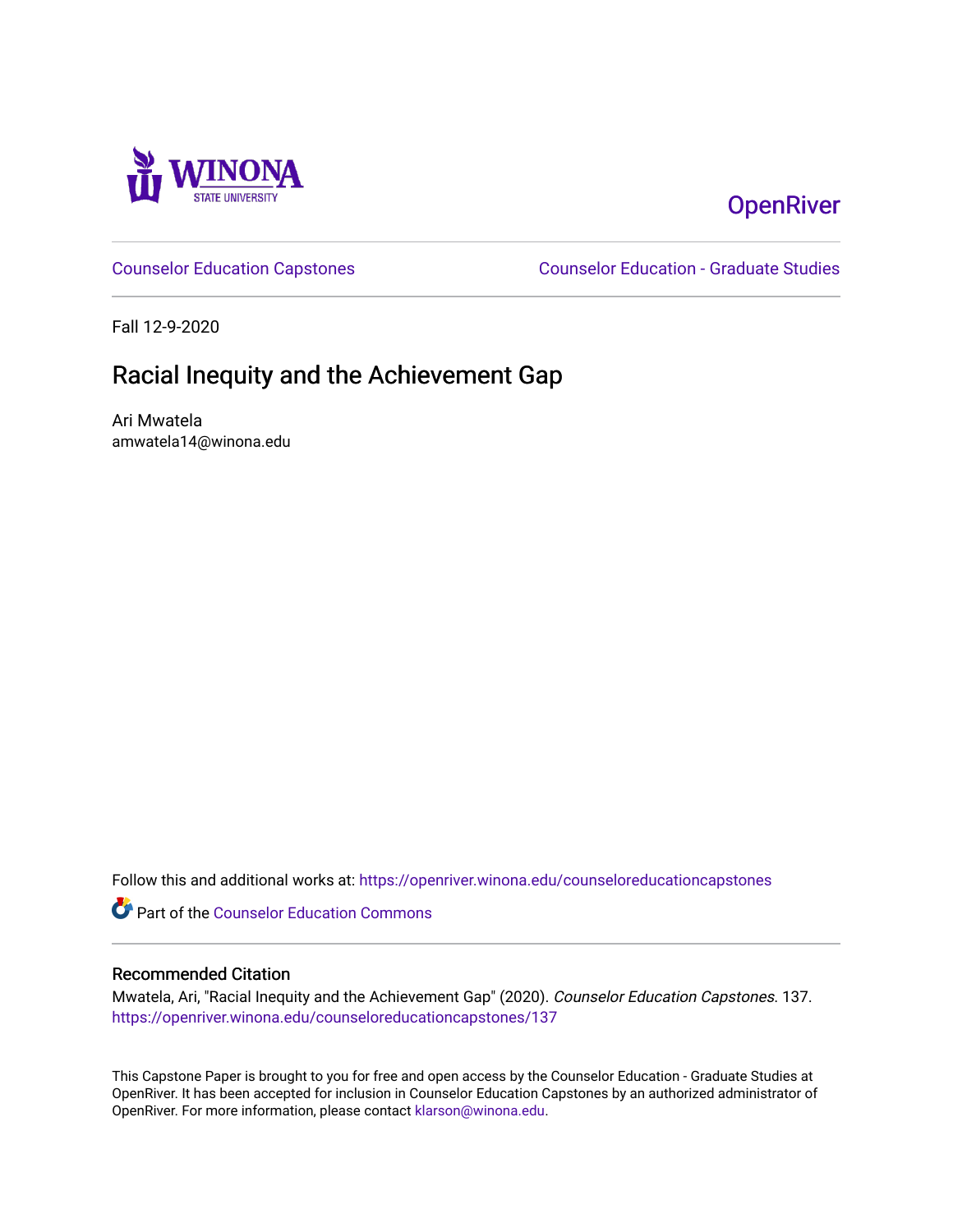

# **OpenRiver**

[Counselor Education Capstones](https://openriver.winona.edu/counseloreducationcapstones) [Counselor Education - Graduate Studies](https://openriver.winona.edu/counseloreducation) 

Fall 12-9-2020

# Racial Inequity and the Achievement Gap

Ari Mwatela amwatela14@winona.edu

Follow this and additional works at: [https://openriver.winona.edu/counseloreducationcapstones](https://openriver.winona.edu/counseloreducationcapstones?utm_source=openriver.winona.edu%2Fcounseloreducationcapstones%2F137&utm_medium=PDF&utm_campaign=PDFCoverPages)

Part of the [Counselor Education Commons](http://network.bepress.com/hgg/discipline/1278?utm_source=openriver.winona.edu%2Fcounseloreducationcapstones%2F137&utm_medium=PDF&utm_campaign=PDFCoverPages) 

# Recommended Citation

Mwatela, Ari, "Racial Inequity and the Achievement Gap" (2020). Counselor Education Capstones. 137. [https://openriver.winona.edu/counseloreducationcapstones/137](https://openriver.winona.edu/counseloreducationcapstones/137?utm_source=openriver.winona.edu%2Fcounseloreducationcapstones%2F137&utm_medium=PDF&utm_campaign=PDFCoverPages)

This Capstone Paper is brought to you for free and open access by the Counselor Education - Graduate Studies at OpenRiver. It has been accepted for inclusion in Counselor Education Capstones by an authorized administrator of OpenRiver. For more information, please contact [klarson@winona.edu](mailto:klarson@winona.edu).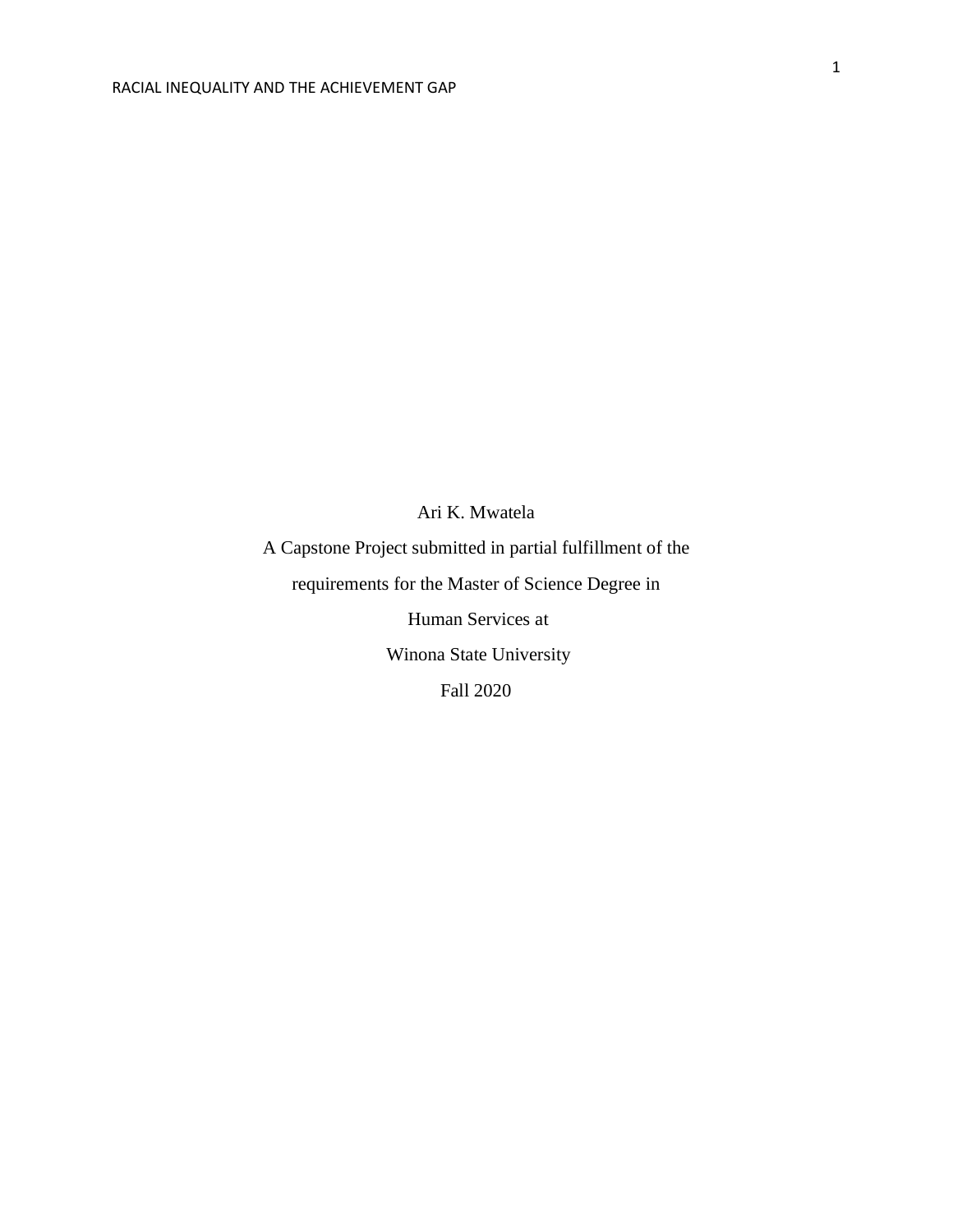Ari K. Mwatela A Capstone Project submitted in partial fulfillment of the requirements for the Master of Science Degree in Human Services at Winona State University Fall 2020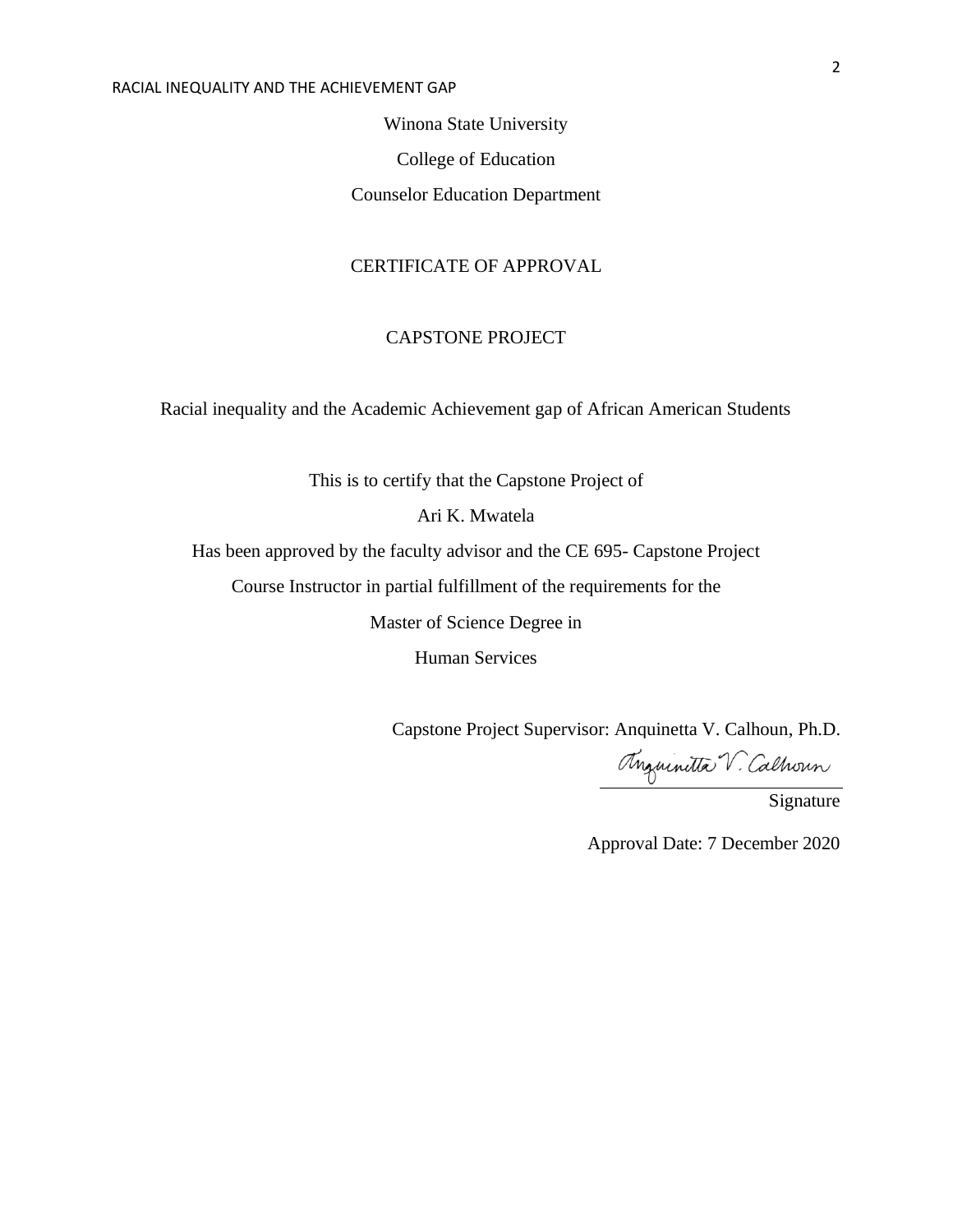Winona State University

College of Education

Counselor Education Department

# CERTIFICATE OF APPROVAL

# CAPSTONE PROJECT

Racial inequality and the Academic Achievement gap of African American Students

This is to certify that the Capstone Project of

Ari K. Mwatela

Has been approved by the faculty advisor and the CE 695- Capstone Project

Course Instructor in partial fulfillment of the requirements for the

Master of Science Degree in

Human Services

Capstone Project Supervisor: Anquinetta V. Calhoun, Ph.D.

Anguinitta V. Calhoun

Approval Date: 7 December 2020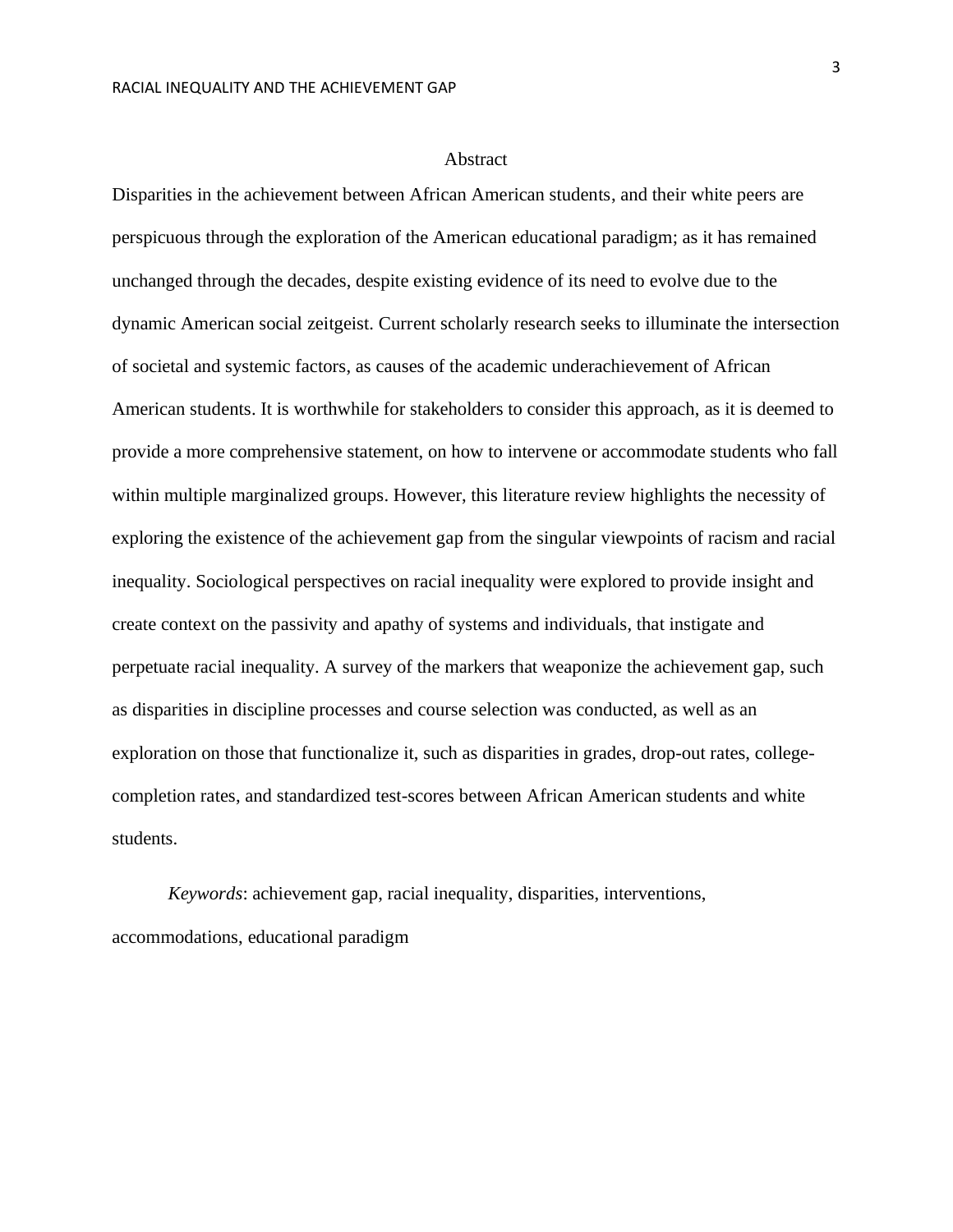#### **Abstract**

Disparities in the achievement between African American students, and their white peers are perspicuous through the exploration of the American educational paradigm; as it has remained unchanged through the decades, despite existing evidence of its need to evolve due to the dynamic American social zeitgeist. Current scholarly research seeks to illuminate the intersection of societal and systemic factors, as causes of the academic underachievement of African American students. It is worthwhile for stakeholders to consider this approach, as it is deemed to provide a more comprehensive statement, on how to intervene or accommodate students who fall within multiple marginalized groups. However, this literature review highlights the necessity of exploring the existence of the achievement gap from the singular viewpoints of racism and racial inequality. Sociological perspectives on racial inequality were explored to provide insight and create context on the passivity and apathy of systems and individuals, that instigate and perpetuate racial inequality. A survey of the markers that weaponize the achievement gap, such as disparities in discipline processes and course selection was conducted, as well as an exploration on those that functionalize it, such as disparities in grades, drop-out rates, collegecompletion rates, and standardized test-scores between African American students and white students.

*Keywords*: achievement gap, racial inequality, disparities, interventions, accommodations, educational paradigm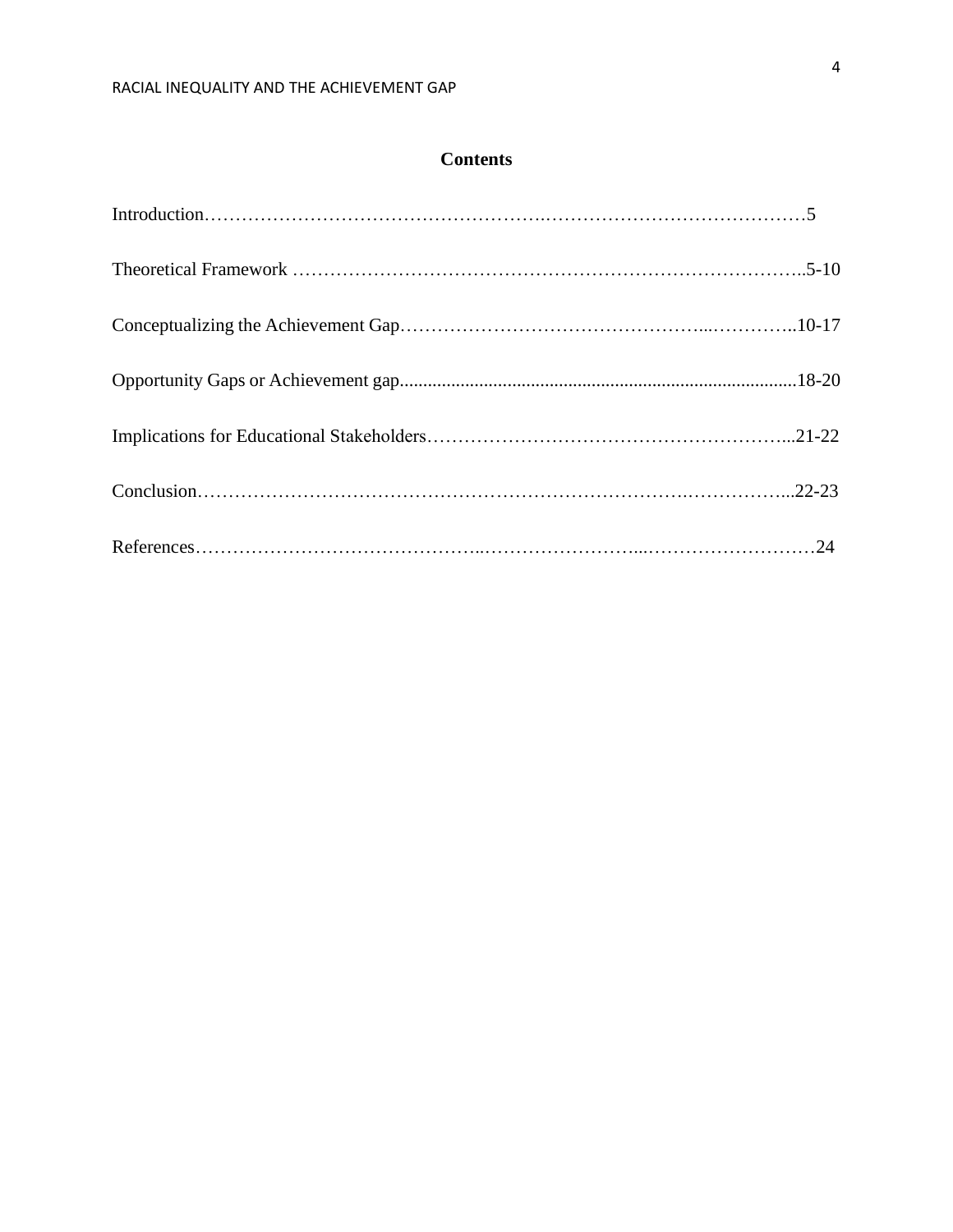# **Contents**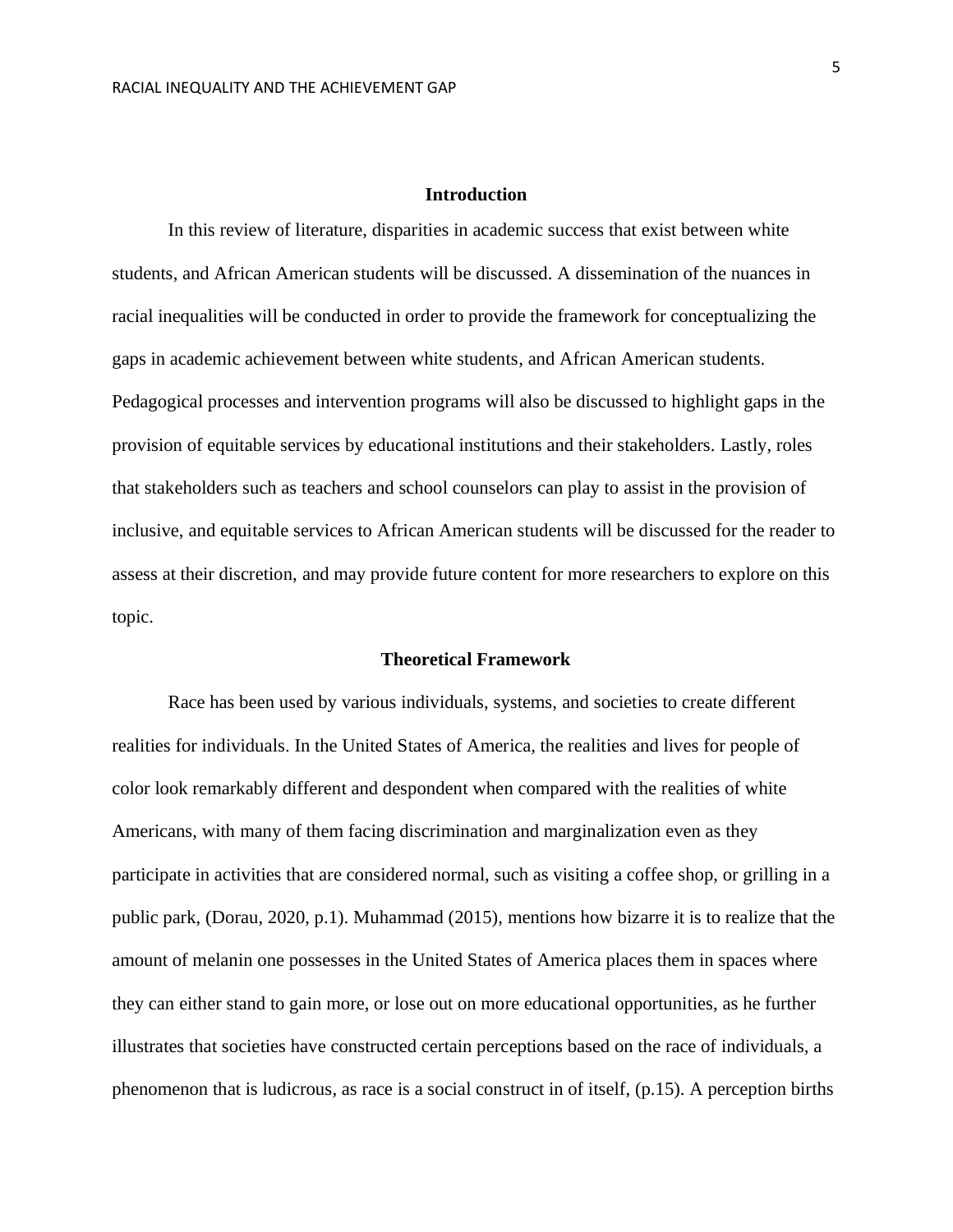#### **Introduction**

In this review of literature, disparities in academic success that exist between white students, and African American students will be discussed. A dissemination of the nuances in racial inequalities will be conducted in order to provide the framework for conceptualizing the gaps in academic achievement between white students, and African American students. Pedagogical processes and intervention programs will also be discussed to highlight gaps in the provision of equitable services by educational institutions and their stakeholders. Lastly, roles that stakeholders such as teachers and school counselors can play to assist in the provision of inclusive, and equitable services to African American students will be discussed for the reader to assess at their discretion, and may provide future content for more researchers to explore on this topic.

### **Theoretical Framework**

Race has been used by various individuals, systems, and societies to create different realities for individuals. In the United States of America, the realities and lives for people of color look remarkably different and despondent when compared with the realities of white Americans, with many of them facing discrimination and marginalization even as they participate in activities that are considered normal, such as visiting a coffee shop, or grilling in a public park, (Dorau, 2020, p.1). Muhammad (2015), mentions how bizarre it is to realize that the amount of melanin one possesses in the United States of America places them in spaces where they can either stand to gain more, or lose out on more educational opportunities, as he further illustrates that societies have constructed certain perceptions based on the race of individuals, a phenomenon that is ludicrous, as race is a social construct in of itself, (p.15). A perception births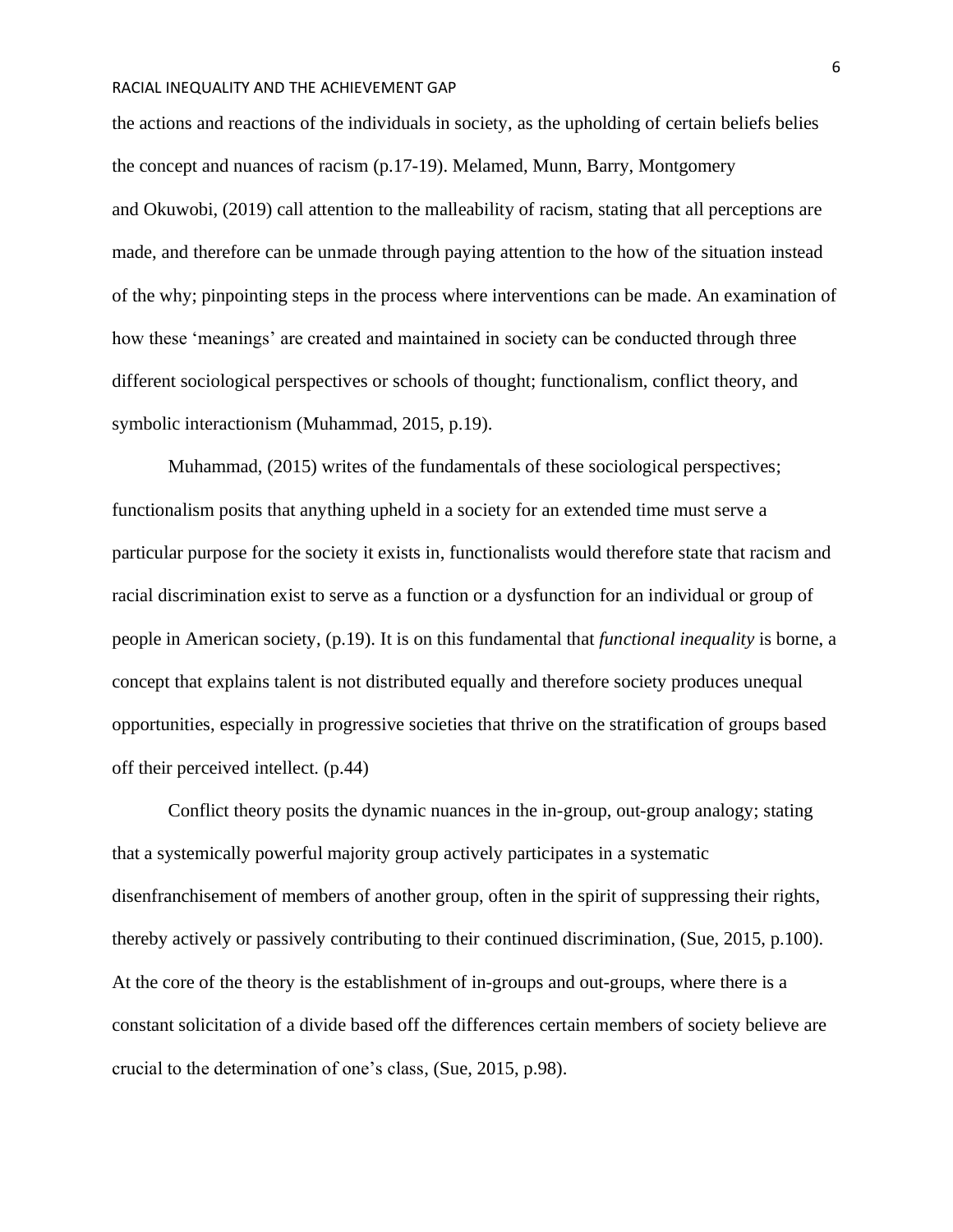the actions and reactions of the individuals in society, as the upholding of certain beliefs belies the concept and nuances of racism (p.17-19). Melamed, Munn, Barry, Montgomery and Okuwobi, (2019) call attention to the malleability of racism, stating that all perceptions are made, and therefore can be unmade through paying attention to the how of the situation instead of the why; pinpointing steps in the process where interventions can be made. An examination of how these 'meanings' are created and maintained in society can be conducted through three different sociological perspectives or schools of thought; functionalism, conflict theory, and symbolic interactionism (Muhammad, 2015, p.19).

Muhammad, (2015) writes of the fundamentals of these sociological perspectives; functionalism posits that anything upheld in a society for an extended time must serve a particular purpose for the society it exists in, functionalists would therefore state that racism and racial discrimination exist to serve as a function or a dysfunction for an individual or group of people in American society, (p.19). It is on this fundamental that *functional inequality* is borne, a concept that explains talent is not distributed equally and therefore society produces unequal opportunities, especially in progressive societies that thrive on the stratification of groups based off their perceived intellect. (p.44)

Conflict theory posits the dynamic nuances in the in-group, out-group analogy; stating that a systemically powerful majority group actively participates in a systematic disenfranchisement of members of another group, often in the spirit of suppressing their rights, thereby actively or passively contributing to their continued discrimination, (Sue, 2015, p.100). At the core of the theory is the establishment of in-groups and out-groups, where there is a constant solicitation of a divide based off the differences certain members of society believe are crucial to the determination of one's class, (Sue, 2015, p.98).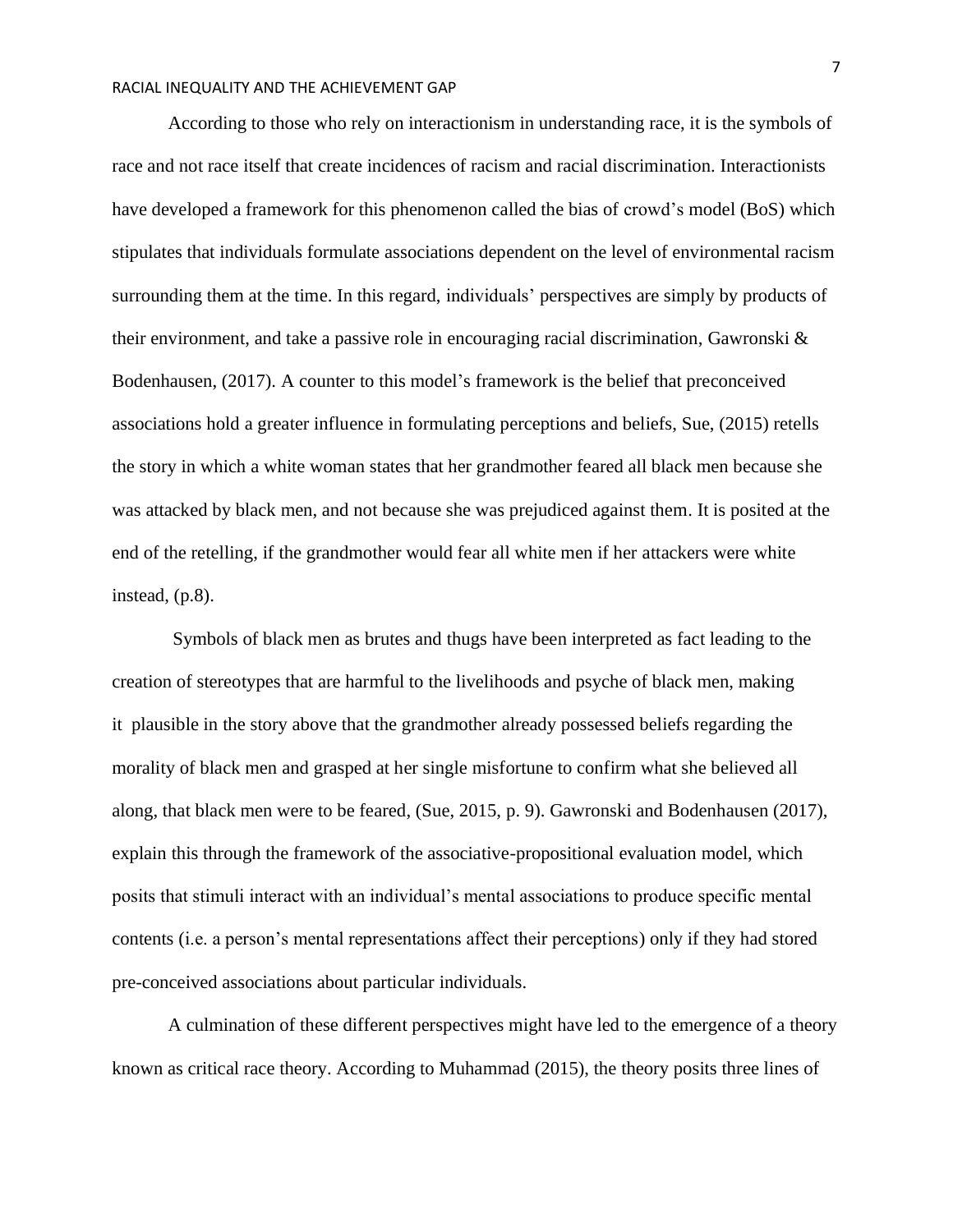According to those who rely on interactionism in understanding race, it is the symbols of race and not race itself that create incidences of racism and racial discrimination. Interactionists have developed a framework for this phenomenon called the bias of crowd's model (BoS) which stipulates that individuals formulate associations dependent on the level of environmental racism surrounding them at the time. In this regard, individuals' perspectives are simply by products of their environment, and take a passive role in encouraging racial discrimination, Gawronski & Bodenhausen, (2017). A counter to this model's framework is the belief that preconceived associations hold a greater influence in formulating perceptions and beliefs, Sue, (2015) retells the story in which a white woman states that her grandmother feared all black men because she was attacked by black men, and not because she was prejudiced against them. It is posited at the end of the retelling, if the grandmother would fear all white men if her attackers were white instead, (p.8).

Symbols of black men as brutes and thugs have been interpreted as fact leading to the creation of stereotypes that are harmful to the livelihoods and psyche of black men, making it plausible in the story above that the grandmother already possessed beliefs regarding the morality of black men and grasped at her single misfortune to confirm what she believed all along, that black men were to be feared, (Sue, 2015, p. 9). Gawronski and Bodenhausen (2017), explain this through the framework of the associative-propositional evaluation model, which posits that stimuli interact with an individual's mental associations to produce specific mental contents (i.e. a person's mental representations affect their perceptions) only if they had stored pre-conceived associations about particular individuals.

A culmination of these different perspectives might have led to the emergence of a theory known as critical race theory. According to Muhammad (2015), the theory posits three lines of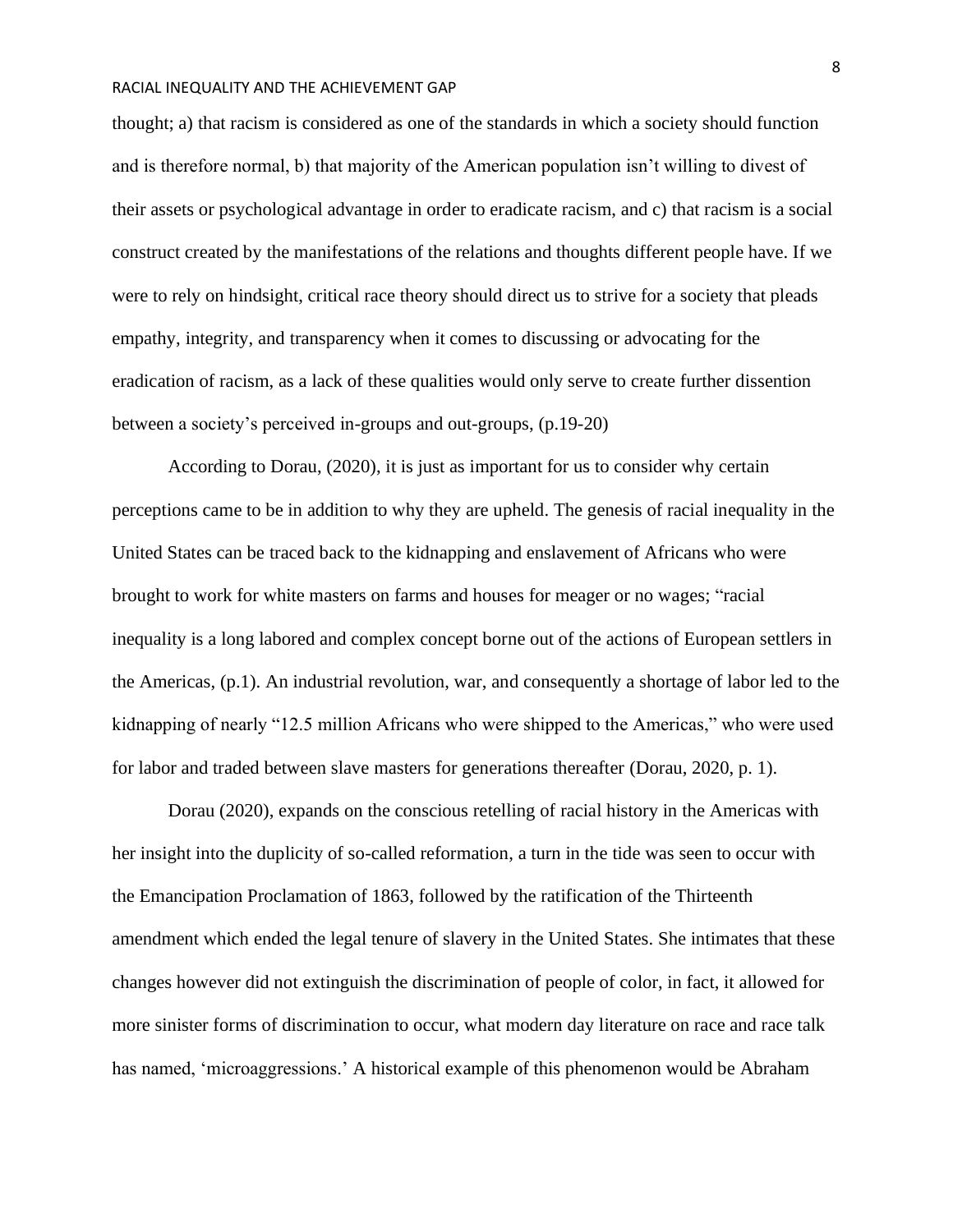thought; a) that racism is considered as one of the standards in which a society should function and is therefore normal, b) that majority of the American population isn't willing to divest of their assets or psychological advantage in order to eradicate racism, and c) that racism is a social construct created by the manifestations of the relations and thoughts different people have. If we were to rely on hindsight, critical race theory should direct us to strive for a society that pleads empathy, integrity, and transparency when it comes to discussing or advocating for the eradication of racism, as a lack of these qualities would only serve to create further dissention between a society's perceived in-groups and out-groups, (p.19-20)

According to Dorau, (2020), it is just as important for us to consider why certain perceptions came to be in addition to why they are upheld. The genesis of racial inequality in the United States can be traced back to the kidnapping and enslavement of Africans who were brought to work for white masters on farms and houses for meager or no wages; "racial inequality is a long labored and complex concept borne out of the actions of European settlers in the Americas, (p.1). An industrial revolution, war, and consequently a shortage of labor led to the kidnapping of nearly "12.5 million Africans who were shipped to the Americas," who were used for labor and traded between slave masters for generations thereafter (Dorau, 2020, p. 1).

Dorau (2020), expands on the conscious retelling of racial history in the Americas with her insight into the duplicity of so-called reformation, a turn in the tide was seen to occur with the Emancipation Proclamation of 1863, followed by the ratification of the Thirteenth amendment which ended the legal tenure of slavery in the United States. She intimates that these changes however did not extinguish the discrimination of people of color, in fact, it allowed for more sinister forms of discrimination to occur, what modern day literature on race and race talk has named, 'microaggressions.' A historical example of this phenomenon would be Abraham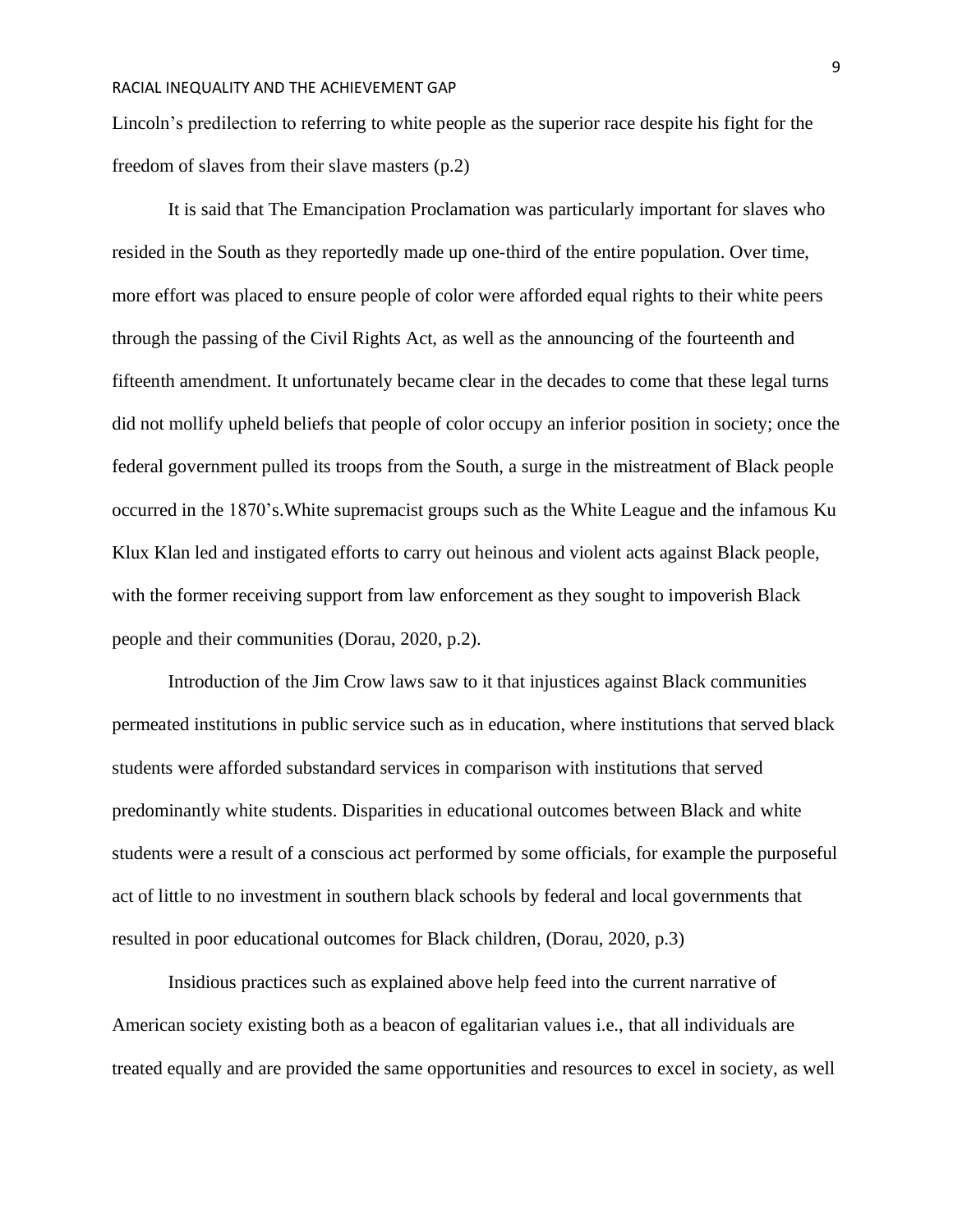Lincoln's predilection to referring to white people as the superior race despite his fight for the freedom of slaves from their slave masters (p.2)

It is said that The Emancipation Proclamation was particularly important for slaves who resided in the South as they reportedly made up one-third of the entire population. Over time, more effort was placed to ensure people of color were afforded equal rights to their white peers through the passing of the Civil Rights Act, as well as the announcing of the fourteenth and fifteenth amendment. It unfortunately became clear in the decades to come that these legal turns did not mollify upheld beliefs that people of color occupy an inferior position in society; once the federal government pulled its troops from the South, a surge in the mistreatment of Black people occurred in the 1870's.White supremacist groups such as the White League and the infamous Ku Klux Klan led and instigated efforts to carry out heinous and violent acts against Black people, with the former receiving support from law enforcement as they sought to impoverish Black people and their communities (Dorau, 2020, p.2).

Introduction of the Jim Crow laws saw to it that injustices against Black communities permeated institutions in public service such as in education, where institutions that served black students were afforded substandard services in comparison with institutions that served predominantly white students. Disparities in educational outcomes between Black and white students were a result of a conscious act performed by some officials, for example the purposeful act of little to no investment in southern black schools by federal and local governments that resulted in poor educational outcomes for Black children, (Dorau, 2020, p.3)

Insidious practices such as explained above help feed into the current narrative of American society existing both as a beacon of egalitarian values i.e., that all individuals are treated equally and are provided the same opportunities and resources to excel in society, as well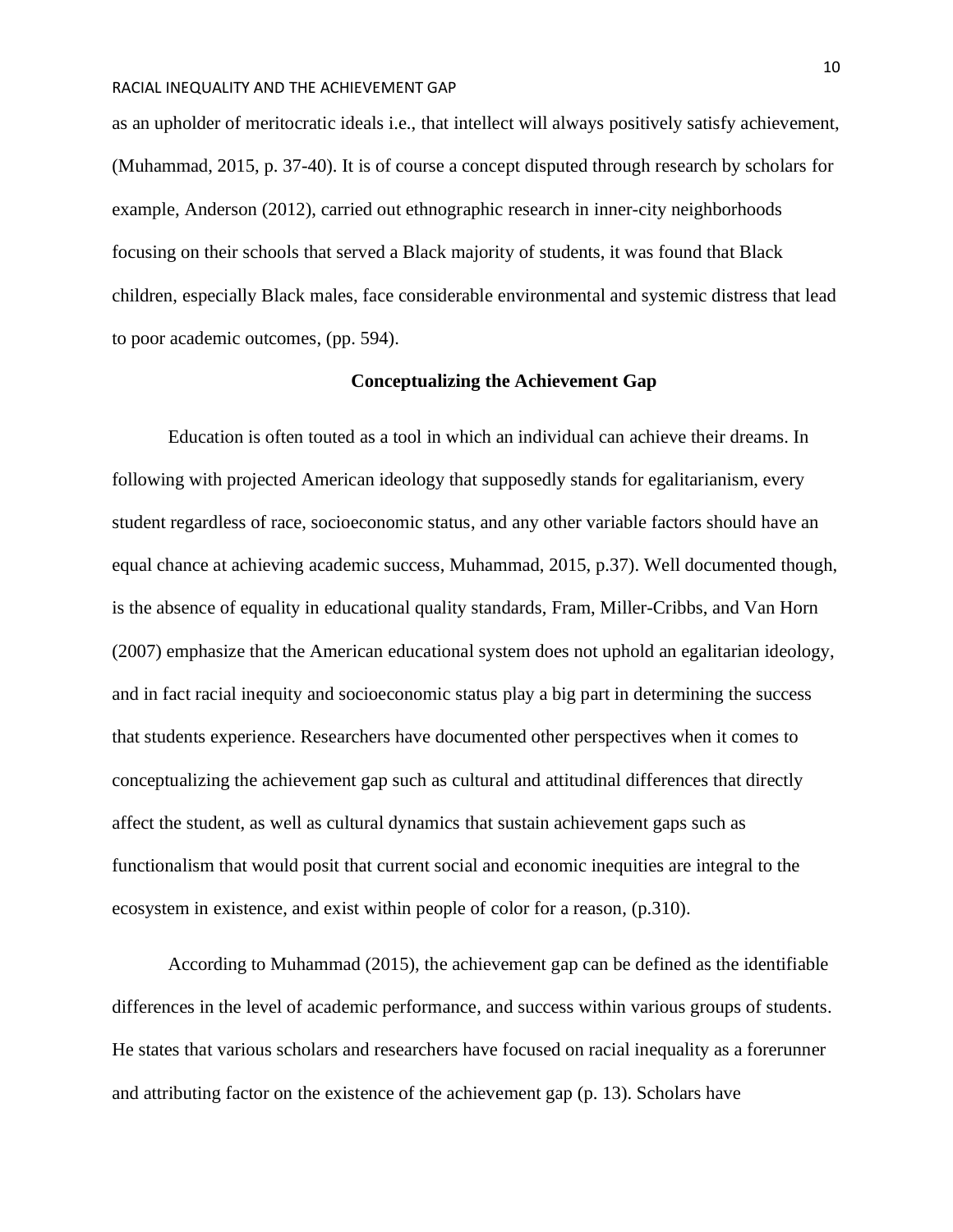as an upholder of meritocratic ideals i.e., that intellect will always positively satisfy achievement, (Muhammad, 2015, p. 37-40). It is of course a concept disputed through research by scholars for example, Anderson (2012), carried out ethnographic research in inner-city neighborhoods focusing on their schools that served a Black majority of students, it was found that Black children, especially Black males, face considerable environmental and systemic distress that lead to poor academic outcomes, (pp. 594).

#### **Conceptualizing the Achievement Gap**

Education is often touted as a tool in which an individual can achieve their dreams. In following with projected American ideology that supposedly stands for egalitarianism, every student regardless of race, socioeconomic status, and any other variable factors should have an equal chance at achieving academic success, Muhammad, 2015, p.37). Well documented though, is the absence of equality in educational quality standards, Fram, Miller-Cribbs, and Van Horn (2007) emphasize that the American educational system does not uphold an egalitarian ideology, and in fact racial inequity and socioeconomic status play a big part in determining the success that students experience. Researchers have documented other perspectives when it comes to conceptualizing the achievement gap such as cultural and attitudinal differences that directly affect the student, as well as cultural dynamics that sustain achievement gaps such as functionalism that would posit that current social and economic inequities are integral to the ecosystem in existence, and exist within people of color for a reason, (p.310).

According to Muhammad (2015), the achievement gap can be defined as the identifiable differences in the level of academic performance, and success within various groups of students. He states that various scholars and researchers have focused on racial inequality as a forerunner and attributing factor on the existence of the achievement gap (p. 13). Scholars have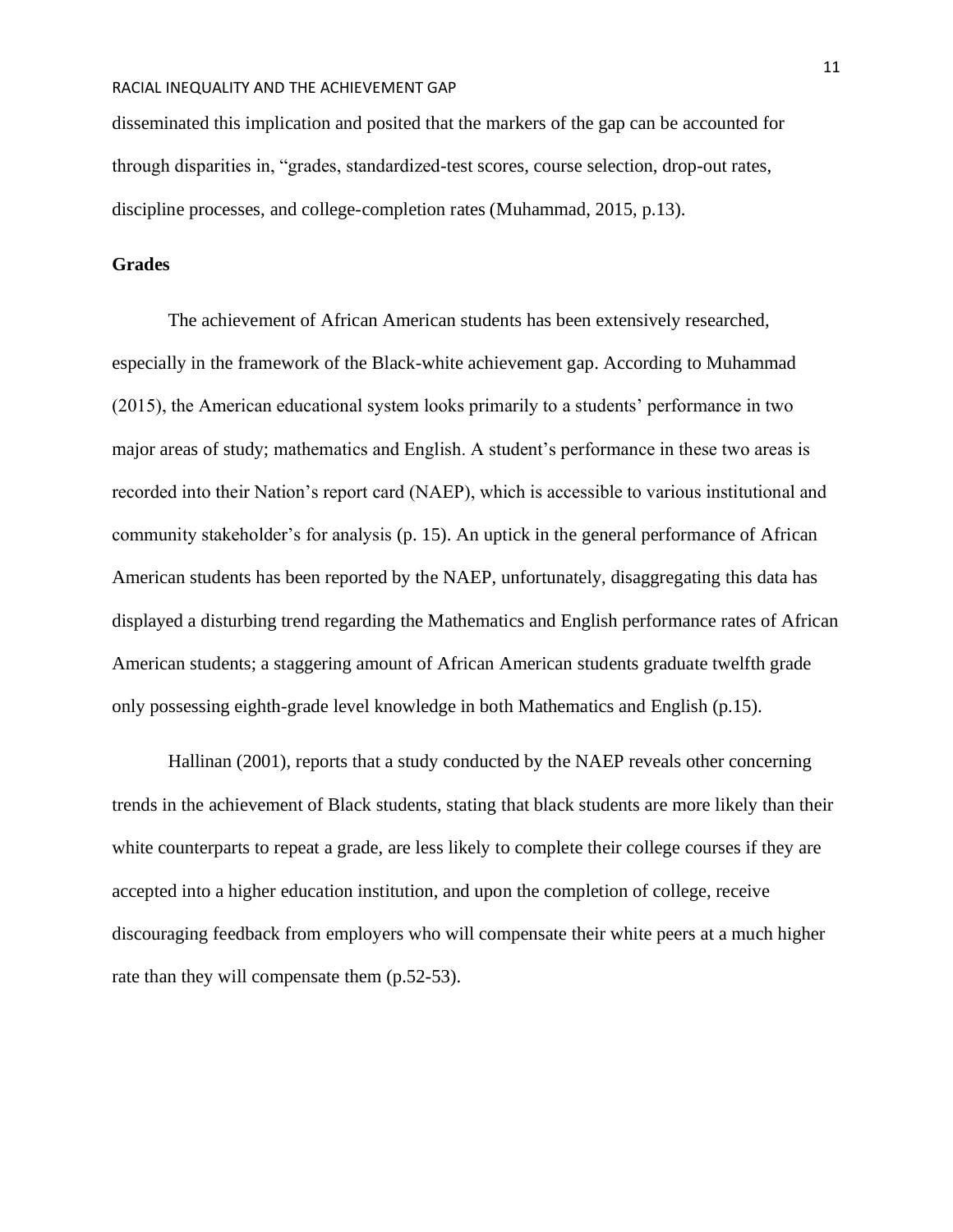disseminated this implication and posited that the markers of the gap can be accounted for through disparities in, "grades, standardized-test scores, course selection, drop-out rates, discipline processes, and college-completion rates (Muhammad, 2015, p.13).

## **Grades**

The achievement of African American students has been extensively researched, especially in the framework of the Black-white achievement gap. According to Muhammad (2015), the American educational system looks primarily to a students' performance in two major areas of study; mathematics and English. A student's performance in these two areas is recorded into their Nation's report card (NAEP), which is accessible to various institutional and community stakeholder's for analysis (p. 15). An uptick in the general performance of African American students has been reported by the NAEP, unfortunately, disaggregating this data has displayed a disturbing trend regarding the Mathematics and English performance rates of African American students; a staggering amount of African American students graduate twelfth grade only possessing eighth-grade level knowledge in both Mathematics and English (p.15).

Hallinan (2001), reports that a study conducted by the NAEP reveals other concerning trends in the achievement of Black students, stating that black students are more likely than their white counterparts to repeat a grade, are less likely to complete their college courses if they are accepted into a higher education institution, and upon the completion of college, receive discouraging feedback from employers who will compensate their white peers at a much higher rate than they will compensate them (p.52-53).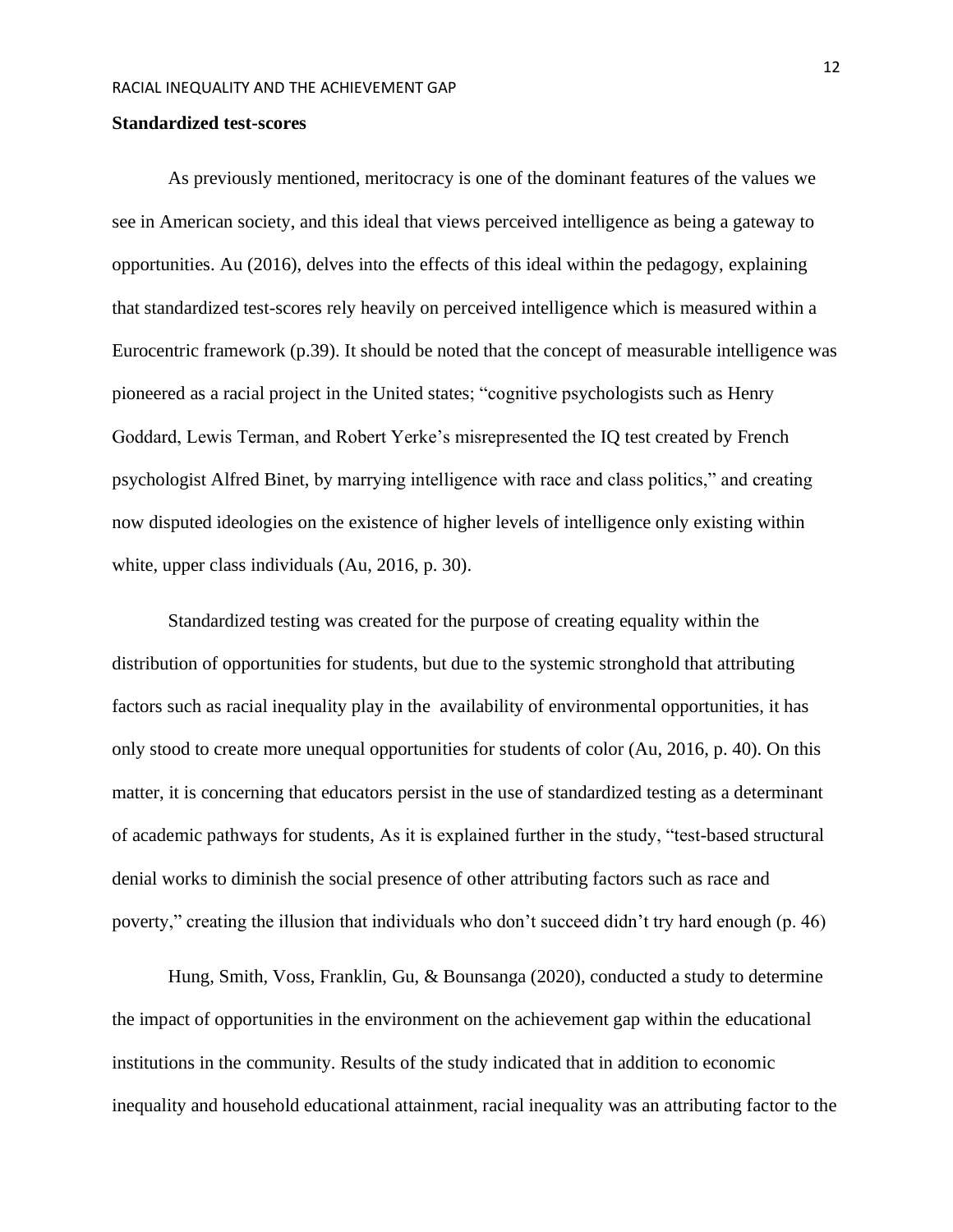#### **Standardized test-scores**

As previously mentioned, meritocracy is one of the dominant features of the values we see in American society, and this ideal that views perceived intelligence as being a gateway to opportunities. Au (2016), delves into the effects of this ideal within the pedagogy, explaining that standardized test-scores rely heavily on perceived intelligence which is measured within a Eurocentric framework (p.39). It should be noted that the concept of measurable intelligence was pioneered as a racial project in the United states; "cognitive psychologists such as Henry Goddard, Lewis Terman, and Robert Yerke's misrepresented the IQ test created by French psychologist Alfred Binet, by marrying intelligence with race and class politics," and creating now disputed ideologies on the existence of higher levels of intelligence only existing within white, upper class individuals (Au, 2016, p. 30).

Standardized testing was created for the purpose of creating equality within the distribution of opportunities for students, but due to the systemic stronghold that attributing factors such as racial inequality play in the availability of environmental opportunities, it has only stood to create more unequal opportunities for students of color (Au, 2016, p. 40). On this matter, it is concerning that educators persist in the use of standardized testing as a determinant of academic pathways for students, As it is explained further in the study, "test-based structural denial works to diminish the social presence of other attributing factors such as race and poverty," creating the illusion that individuals who don't succeed didn't try hard enough (p. 46)

Hung, Smith, Voss, Franklin, Gu, & Bounsanga (2020), conducted a study to determine the impact of opportunities in the environment on the achievement gap within the educational institutions in the community. Results of the study indicated that in addition to economic inequality and household educational attainment, racial inequality was an attributing factor to the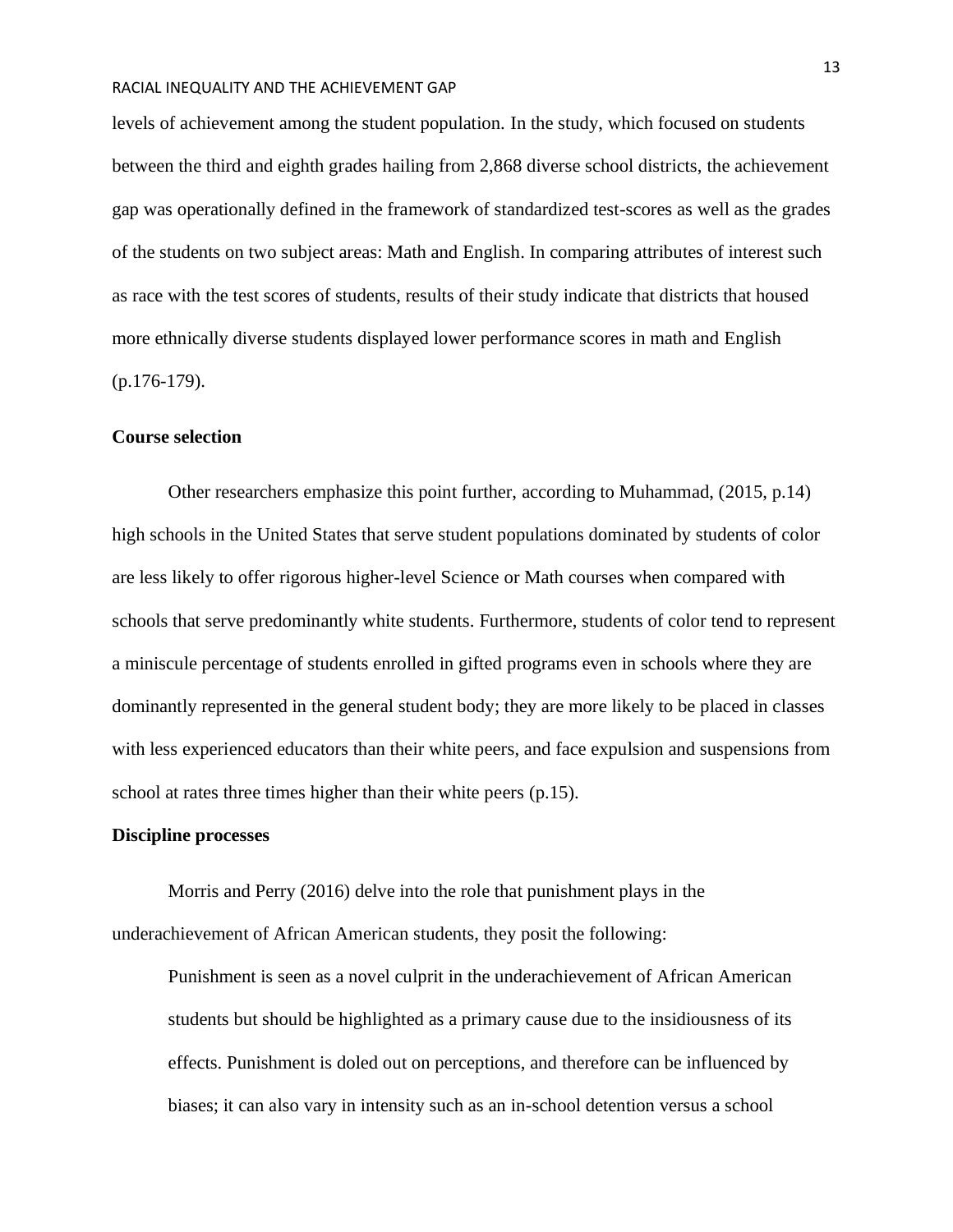levels of achievement among the student population. In the study, which focused on students between the third and eighth grades hailing from 2,868 diverse school districts, the achievement gap was operationally defined in the framework of standardized test-scores as well as the grades of the students on two subject areas: Math and English. In comparing attributes of interest such as race with the test scores of students, results of their study indicate that districts that housed more ethnically diverse students displayed lower performance scores in math and English (p.176-179).

## **Course selection**

Other researchers emphasize this point further, according to Muhammad, (2015, p.14) high schools in the United States that serve student populations dominated by students of color are less likely to offer rigorous higher-level Science or Math courses when compared with schools that serve predominantly white students. Furthermore, students of color tend to represent a miniscule percentage of students enrolled in gifted programs even in schools where they are dominantly represented in the general student body; they are more likely to be placed in classes with less experienced educators than their white peers, and face expulsion and suspensions from school at rates three times higher than their white peers (p.15).

#### **Discipline processes**

Morris and Perry (2016) delve into the role that punishment plays in the underachievement of African American students, they posit the following:

Punishment is seen as a novel culprit in the underachievement of African American students but should be highlighted as a primary cause due to the insidiousness of its effects. Punishment is doled out on perceptions, and therefore can be influenced by biases; it can also vary in intensity such as an in-school detention versus a school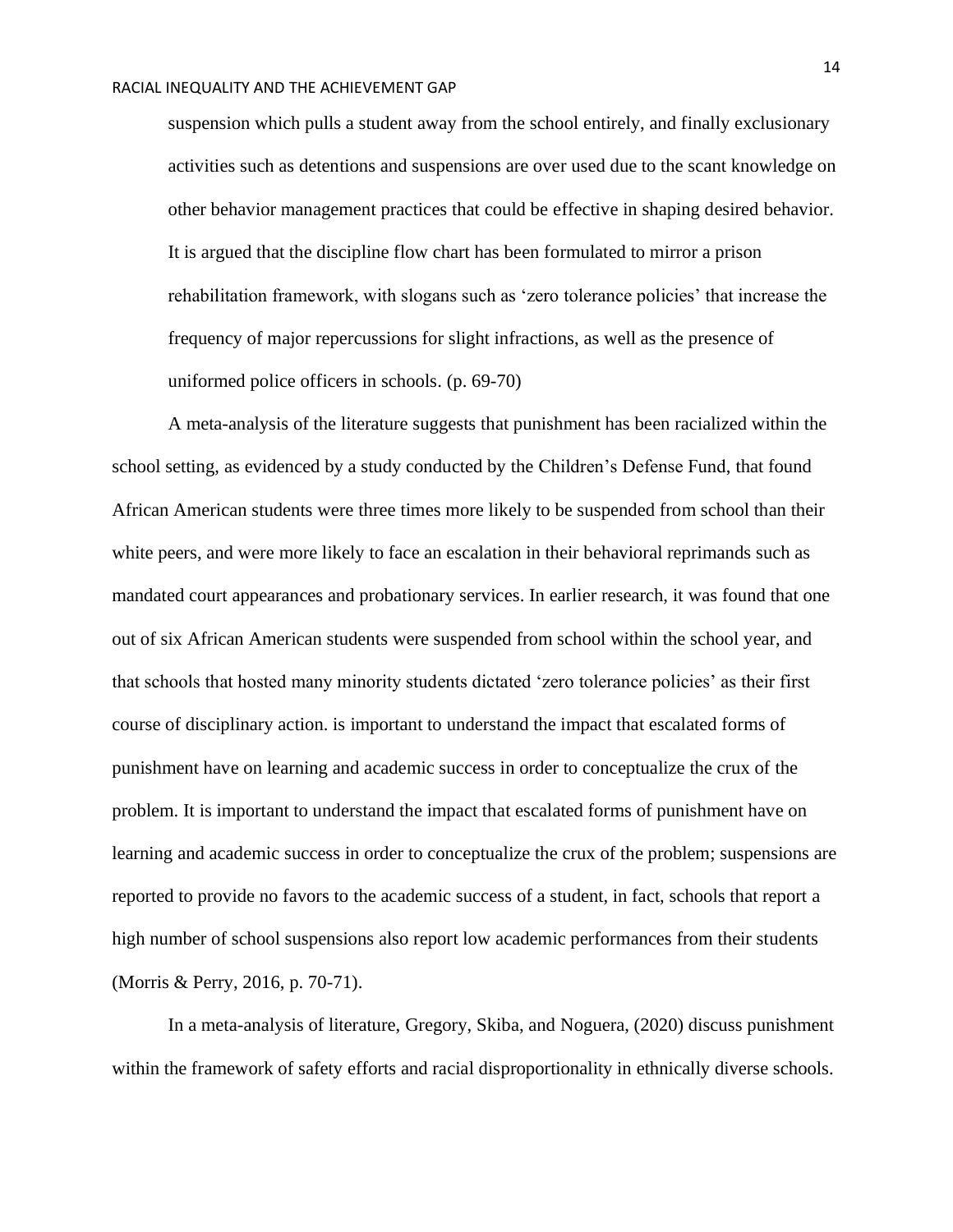suspension which pulls a student away from the school entirely, and finally exclusionary activities such as detentions and suspensions are over used due to the scant knowledge on other behavior management practices that could be effective in shaping desired behavior. It is argued that the discipline flow chart has been formulated to mirror a prison rehabilitation framework, with slogans such as 'zero tolerance policies' that increase the frequency of major repercussions for slight infractions, as well as the presence of uniformed police officers in schools. (p. 69-70)

A meta-analysis of the literature suggests that punishment has been racialized within the school setting, as evidenced by a study conducted by the Children's Defense Fund, that found African American students were three times more likely to be suspended from school than their white peers, and were more likely to face an escalation in their behavioral reprimands such as mandated court appearances and probationary services. In earlier research, it was found that one out of six African American students were suspended from school within the school year, and that schools that hosted many minority students dictated 'zero tolerance policies' as their first course of disciplinary action. is important to understand the impact that escalated forms of punishment have on learning and academic success in order to conceptualize the crux of the problem. It is important to understand the impact that escalated forms of punishment have on learning and academic success in order to conceptualize the crux of the problem; suspensions are reported to provide no favors to the academic success of a student, in fact, schools that report a high number of school suspensions also report low academic performances from their students (Morris & Perry, 2016, p. 70-71).

In a meta-analysis of literature, Gregory, Skiba, and Noguera, (2020) discuss punishment within the framework of safety efforts and racial disproportionality in ethnically diverse schools.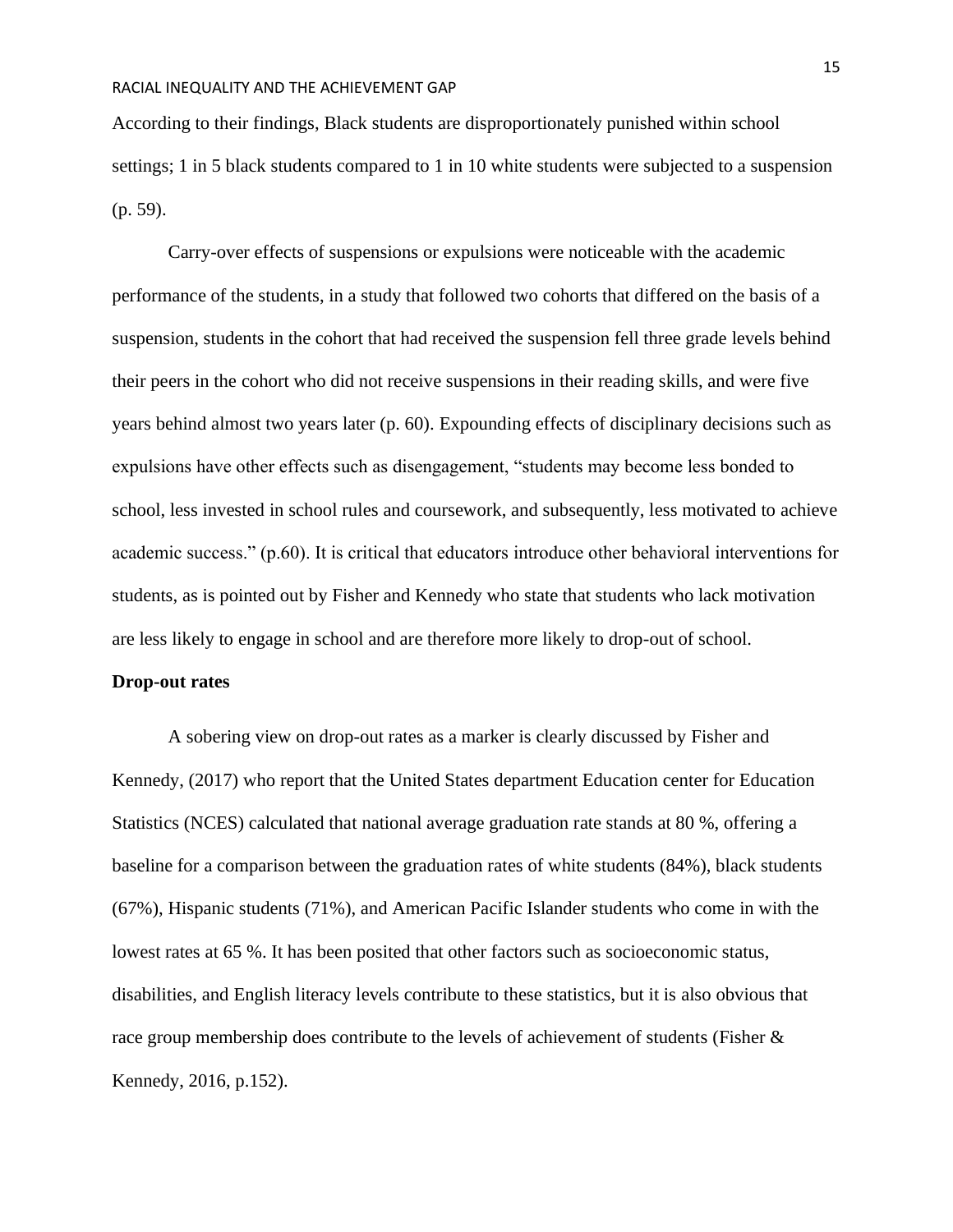According to their findings, Black students are disproportionately punished within school settings; 1 in 5 black students compared to 1 in 10 white students were subjected to a suspension (p. 59).

Carry-over effects of suspensions or expulsions were noticeable with the academic performance of the students, in a study that followed two cohorts that differed on the basis of a suspension, students in the cohort that had received the suspension fell three grade levels behind their peers in the cohort who did not receive suspensions in their reading skills, and were five years behind almost two years later (p. 60). Expounding effects of disciplinary decisions such as expulsions have other effects such as disengagement, "students may become less bonded to school, less invested in school rules and coursework, and subsequently, less motivated to achieve academic success." (p.60). It is critical that educators introduce other behavioral interventions for students, as is pointed out by Fisher and Kennedy who state that students who lack motivation are less likely to engage in school and are therefore more likely to drop-out of school.

#### **Drop-out rates**

A sobering view on drop-out rates as a marker is clearly discussed by Fisher and Kennedy, (2017) who report that the United States department Education center for Education Statistics (NCES) calculated that national average graduation rate stands at 80 %, offering a baseline for a comparison between the graduation rates of white students (84%), black students (67%), Hispanic students (71%), and American Pacific Islander students who come in with the lowest rates at 65 %. It has been posited that other factors such as socioeconomic status, disabilities, and English literacy levels contribute to these statistics, but it is also obvious that race group membership does contribute to the levels of achievement of students (Fisher & Kennedy, 2016, p.152).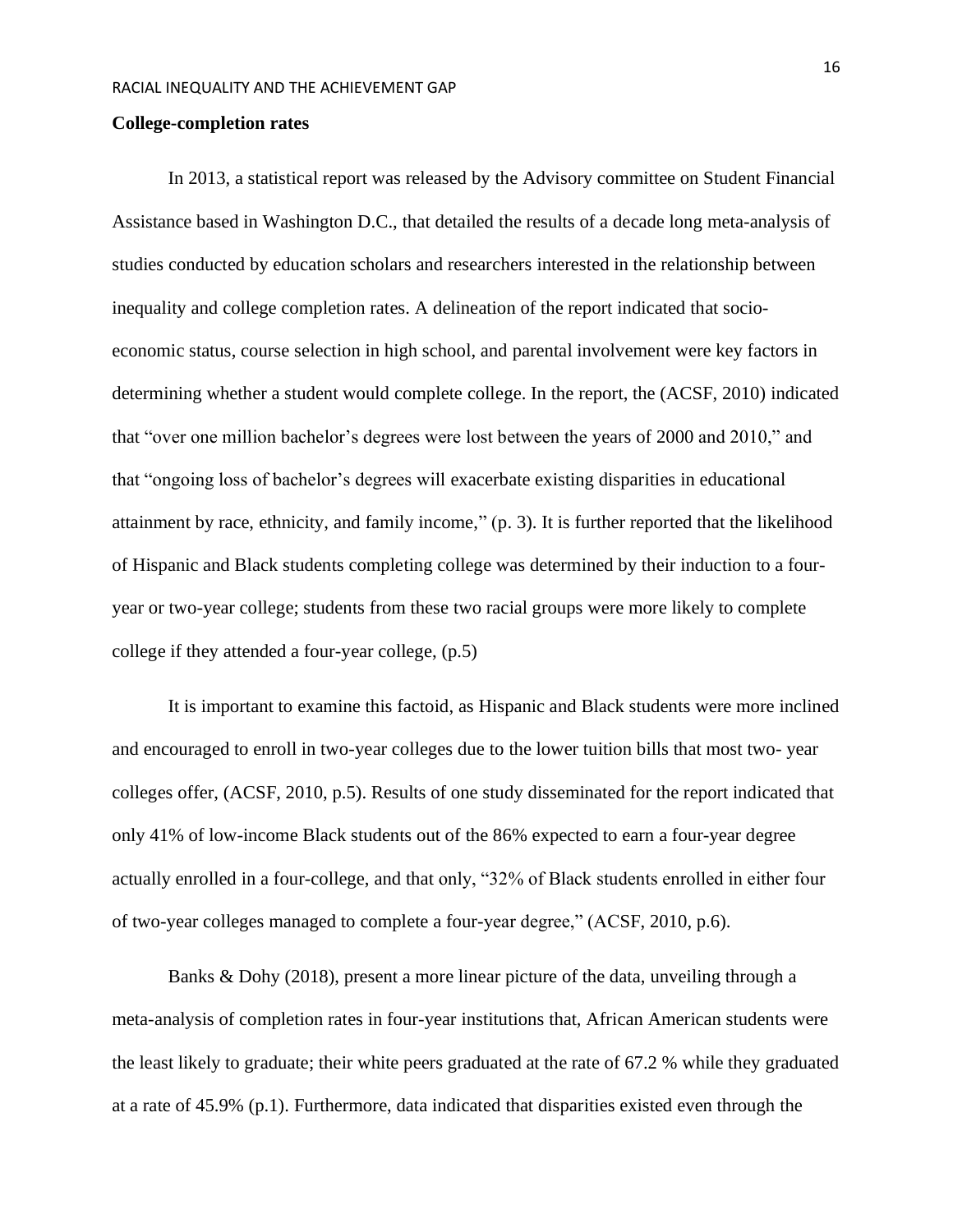#### **College-completion rates**

In 2013, a statistical report was released by the Advisory committee on Student Financial Assistance based in Washington D.C., that detailed the results of a decade long meta-analysis of studies conducted by education scholars and researchers interested in the relationship between inequality and college completion rates. A delineation of the report indicated that socioeconomic status, course selection in high school, and parental involvement were key factors in determining whether a student would complete college. In the report, the (ACSF, 2010) indicated that "over one million bachelor's degrees were lost between the years of 2000 and 2010," and that "ongoing loss of bachelor's degrees will exacerbate existing disparities in educational attainment by race, ethnicity, and family income," (p. 3). It is further reported that the likelihood of Hispanic and Black students completing college was determined by their induction to a fouryear or two-year college; students from these two racial groups were more likely to complete college if they attended a four-year college, (p.5)

It is important to examine this factoid, as Hispanic and Black students were more inclined and encouraged to enroll in two-year colleges due to the lower tuition bills that most two- year colleges offer, (ACSF, 2010, p.5). Results of one study disseminated for the report indicated that only 41% of low-income Black students out of the 86% expected to earn a four-year degree actually enrolled in a four-college, and that only, "32% of Black students enrolled in either four of two-year colleges managed to complete a four-year degree," (ACSF, 2010, p.6).

Banks & Dohy (2018), present a more linear picture of the data, unveiling through a meta-analysis of completion rates in four-year institutions that, African American students were the least likely to graduate; their white peers graduated at the rate of 67.2 % while they graduated at a rate of 45.9% (p.1). Furthermore, data indicated that disparities existed even through the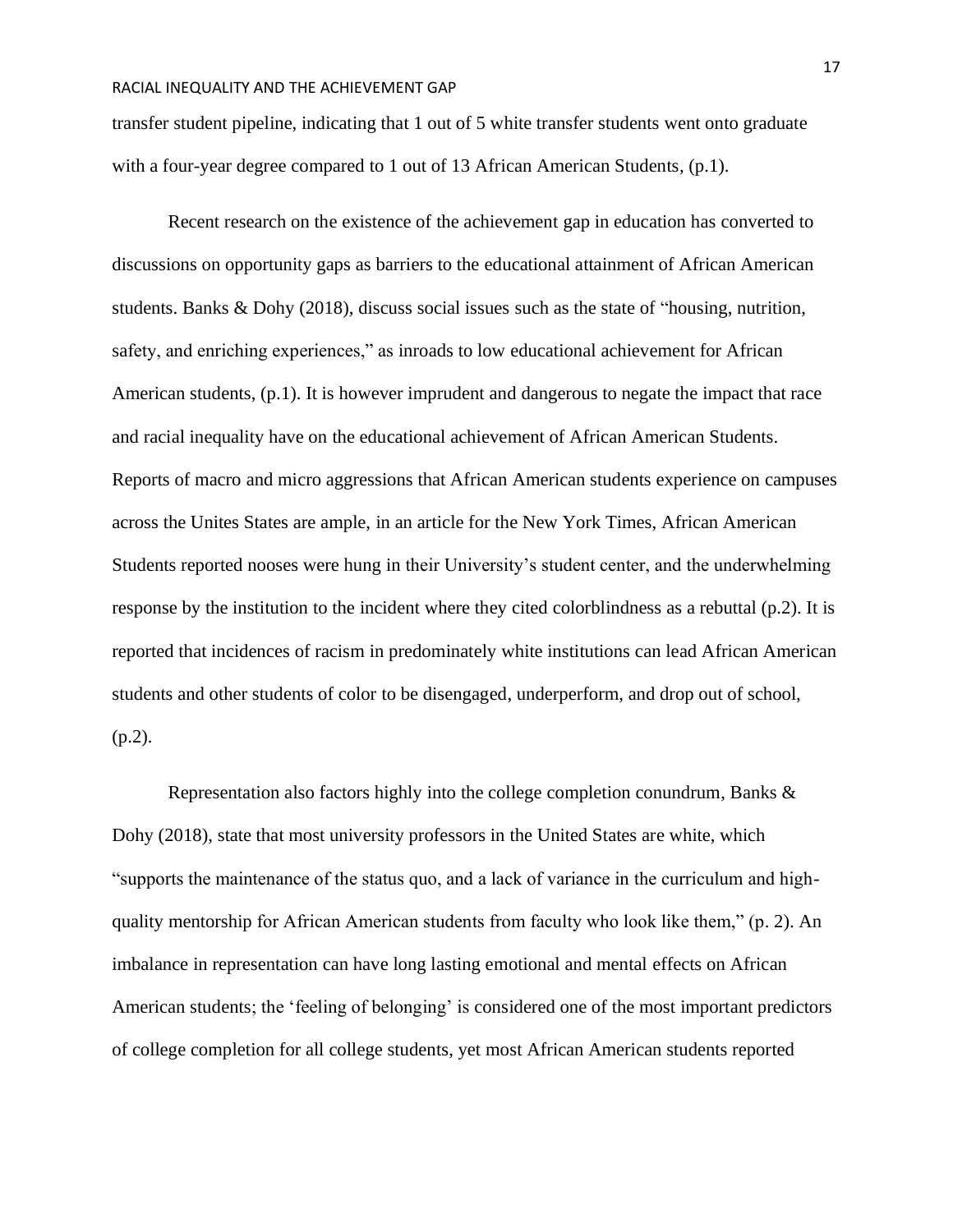transfer student pipeline, indicating that 1 out of 5 white transfer students went onto graduate with a four-year degree compared to 1 out of 13 African American Students,  $(p.1)$ .

Recent research on the existence of the achievement gap in education has converted to discussions on opportunity gaps as barriers to the educational attainment of African American students. Banks & Dohy (2018), discuss social issues such as the state of "housing, nutrition, safety, and enriching experiences," as inroads to low educational achievement for African American students, (p.1). It is however imprudent and dangerous to negate the impact that race and racial inequality have on the educational achievement of African American Students. Reports of macro and micro aggressions that African American students experience on campuses across the Unites States are ample, in an article for the New York Times, African American Students reported nooses were hung in their University's student center, and the underwhelming response by the institution to the incident where they cited colorblindness as a rebuttal (p.2). It is reported that incidences of racism in predominately white institutions can lead African American students and other students of color to be disengaged, underperform, and drop out of school,  $(p.2)$ .

Representation also factors highly into the college completion conundrum, Banks  $\&$ Dohy (2018), state that most university professors in the United States are white, which "supports the maintenance of the status quo, and a lack of variance in the curriculum and highquality mentorship for African American students from faculty who look like them," (p. 2). An imbalance in representation can have long lasting emotional and mental effects on African American students; the 'feeling of belonging' is considered one of the most important predictors of college completion for all college students, yet most African American students reported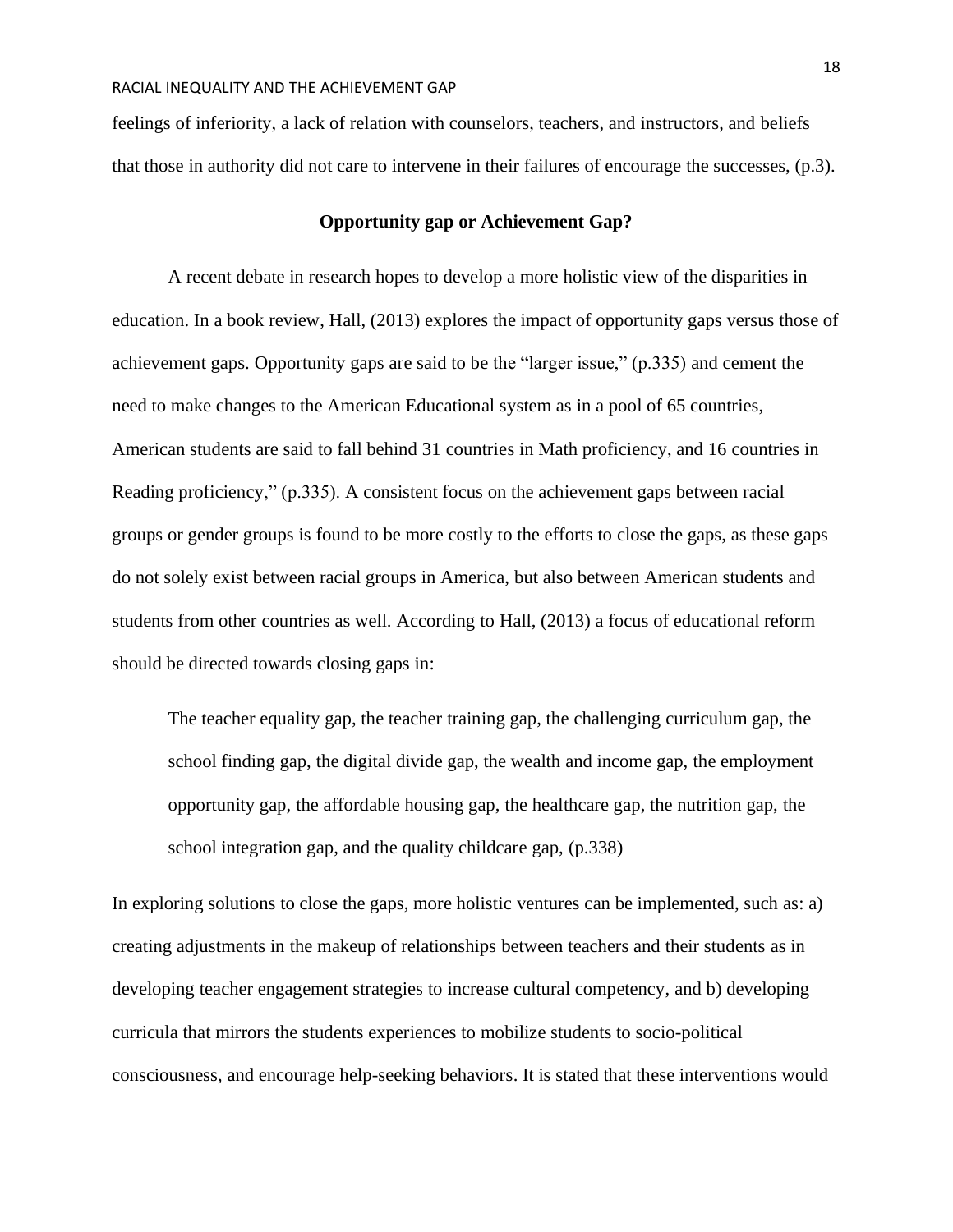feelings of inferiority, a lack of relation with counselors, teachers, and instructors, and beliefs that those in authority did not care to intervene in their failures of encourage the successes, (p.3).

#### **Opportunity gap or Achievement Gap?**

A recent debate in research hopes to develop a more holistic view of the disparities in education. In a book review, Hall, (2013) explores the impact of opportunity gaps versus those of achievement gaps. Opportunity gaps are said to be the "larger issue," (p.335) and cement the need to make changes to the American Educational system as in a pool of 65 countries, American students are said to fall behind 31 countries in Math proficiency, and 16 countries in Reading proficiency," (p.335). A consistent focus on the achievement gaps between racial groups or gender groups is found to be more costly to the efforts to close the gaps, as these gaps do not solely exist between racial groups in America, but also between American students and students from other countries as well. According to Hall, (2013) a focus of educational reform should be directed towards closing gaps in:

The teacher equality gap, the teacher training gap, the challenging curriculum gap, the school finding gap, the digital divide gap, the wealth and income gap, the employment opportunity gap, the affordable housing gap, the healthcare gap, the nutrition gap, the school integration gap, and the quality childcare gap, (p.338)

In exploring solutions to close the gaps, more holistic ventures can be implemented, such as: a) creating adjustments in the makeup of relationships between teachers and their students as in developing teacher engagement strategies to increase cultural competency, and b) developing curricula that mirrors the students experiences to mobilize students to socio-political consciousness, and encourage help-seeking behaviors. It is stated that these interventions would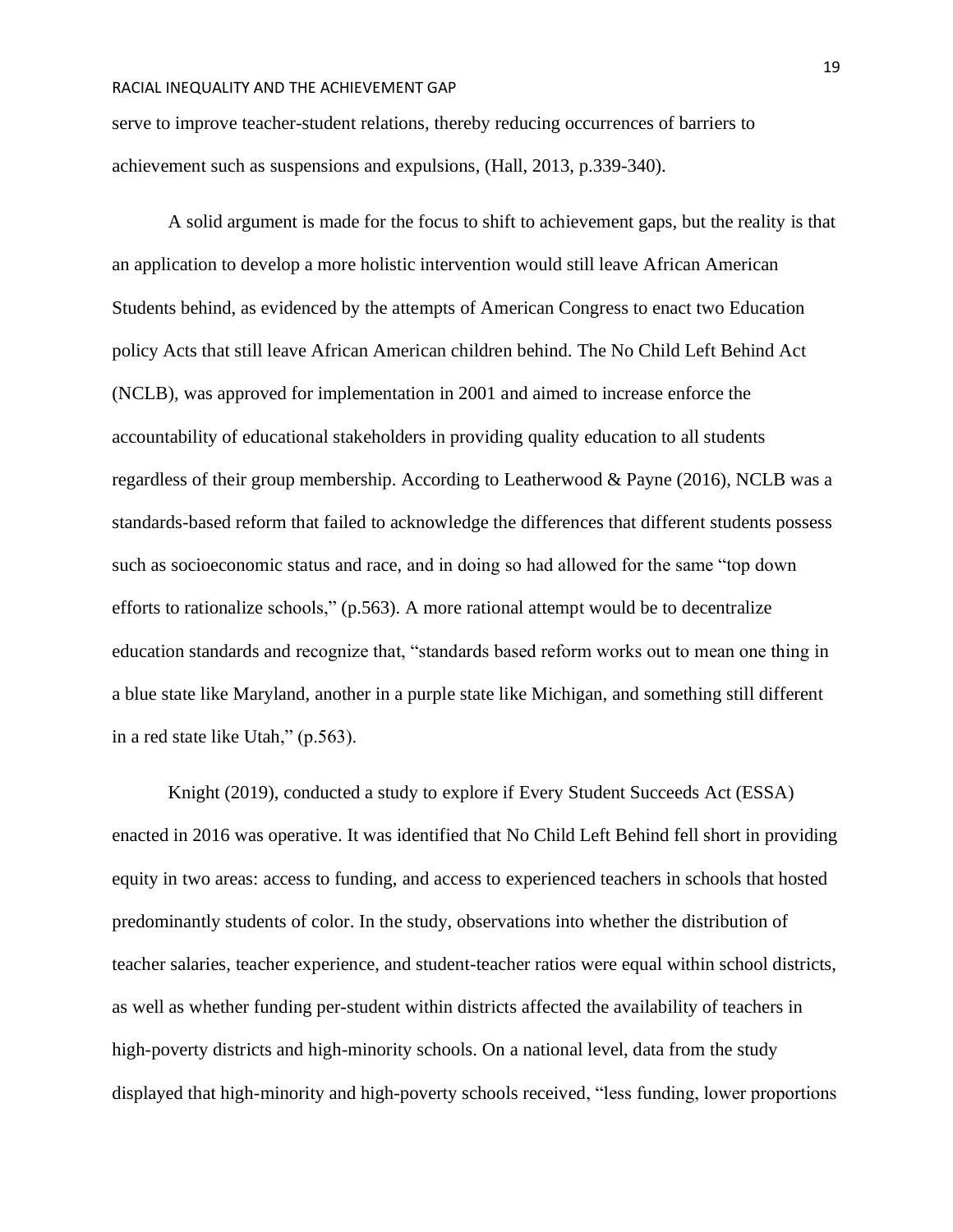serve to improve teacher-student relations, thereby reducing occurrences of barriers to achievement such as suspensions and expulsions, (Hall, 2013, p.339-340).

A solid argument is made for the focus to shift to achievement gaps, but the reality is that an application to develop a more holistic intervention would still leave African American Students behind, as evidenced by the attempts of American Congress to enact two Education policy Acts that still leave African American children behind. The No Child Left Behind Act (NCLB), was approved for implementation in 2001 and aimed to increase enforce the accountability of educational stakeholders in providing quality education to all students regardless of their group membership. According to Leatherwood & Payne (2016), NCLB was a standards-based reform that failed to acknowledge the differences that different students possess such as socioeconomic status and race, and in doing so had allowed for the same "top down efforts to rationalize schools," (p.563). A more rational attempt would be to decentralize education standards and recognize that, "standards based reform works out to mean one thing in a blue state like Maryland, another in a purple state like Michigan, and something still different in a red state like Utah," (p.563).

Knight (2019), conducted a study to explore if Every Student Succeeds Act (ESSA) enacted in 2016 was operative. It was identified that No Child Left Behind fell short in providing equity in two areas: access to funding, and access to experienced teachers in schools that hosted predominantly students of color. In the study, observations into whether the distribution of teacher salaries, teacher experience, and student-teacher ratios were equal within school districts, as well as whether funding per-student within districts affected the availability of teachers in high-poverty districts and high-minority schools. On a national level, data from the study displayed that high-minority and high-poverty schools received, "less funding, lower proportions

19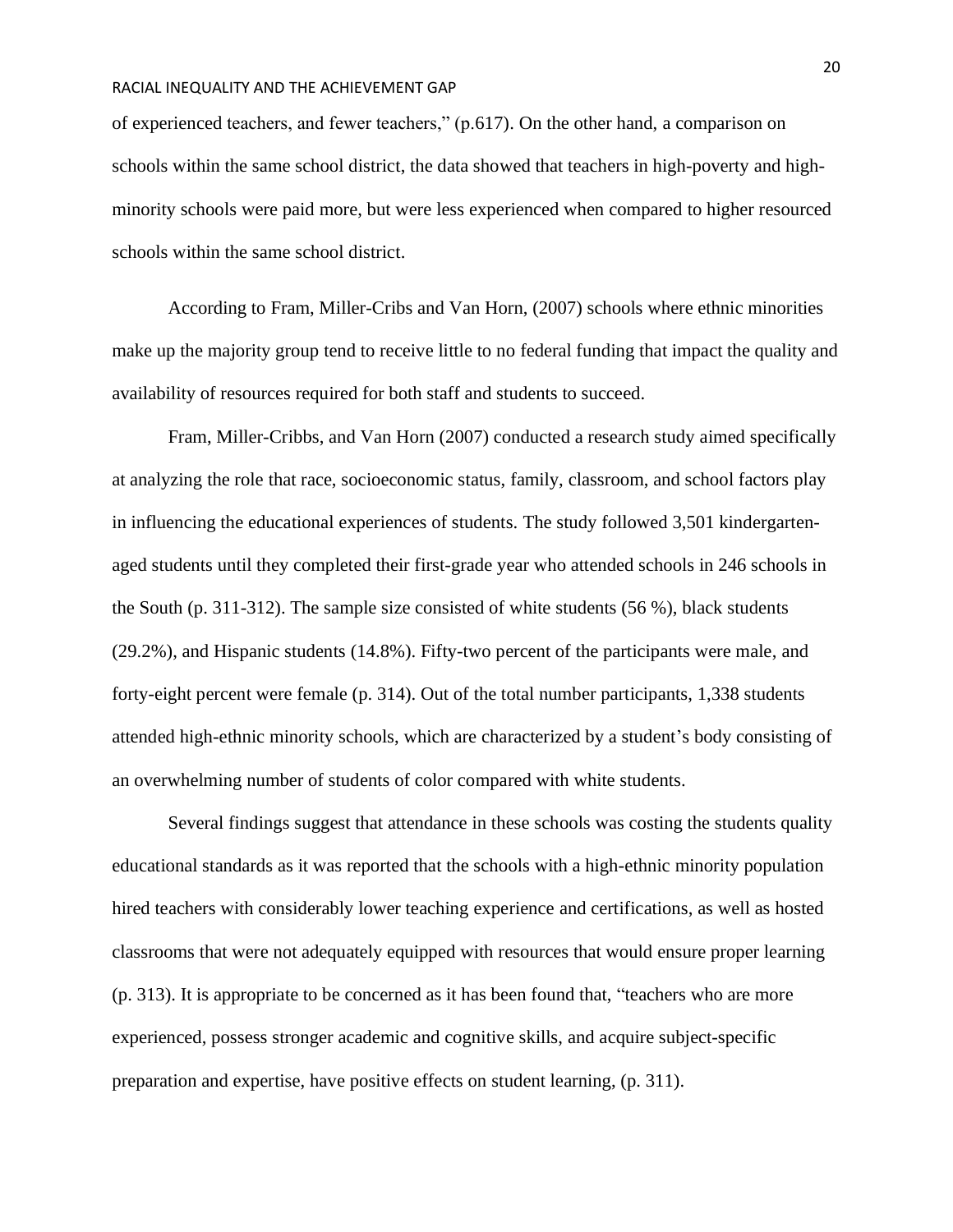of experienced teachers, and fewer teachers," (p.617). On the other hand, a comparison on schools within the same school district, the data showed that teachers in high-poverty and highminority schools were paid more, but were less experienced when compared to higher resourced schools within the same school district.

According to Fram, Miller-Cribs and Van Horn, (2007) schools where ethnic minorities make up the majority group tend to receive little to no federal funding that impact the quality and availability of resources required for both staff and students to succeed.

Fram, Miller-Cribbs, and Van Horn (2007) conducted a research study aimed specifically at analyzing the role that race, socioeconomic status, family, classroom, and school factors play in influencing the educational experiences of students. The study followed 3,501 kindergartenaged students until they completed their first-grade year who attended schools in 246 schools in the South (p. 311-312). The sample size consisted of white students (56 %), black students (29.2%), and Hispanic students (14.8%). Fifty-two percent of the participants were male, and forty-eight percent were female (p. 314). Out of the total number participants, 1,338 students attended high-ethnic minority schools, which are characterized by a student's body consisting of an overwhelming number of students of color compared with white students.

Several findings suggest that attendance in these schools was costing the students quality educational standards as it was reported that the schools with a high-ethnic minority population hired teachers with considerably lower teaching experience and certifications, as well as hosted classrooms that were not adequately equipped with resources that would ensure proper learning (p. 313). It is appropriate to be concerned as it has been found that, "teachers who are more experienced, possess stronger academic and cognitive skills, and acquire subject-specific preparation and expertise, have positive effects on student learning, (p. 311).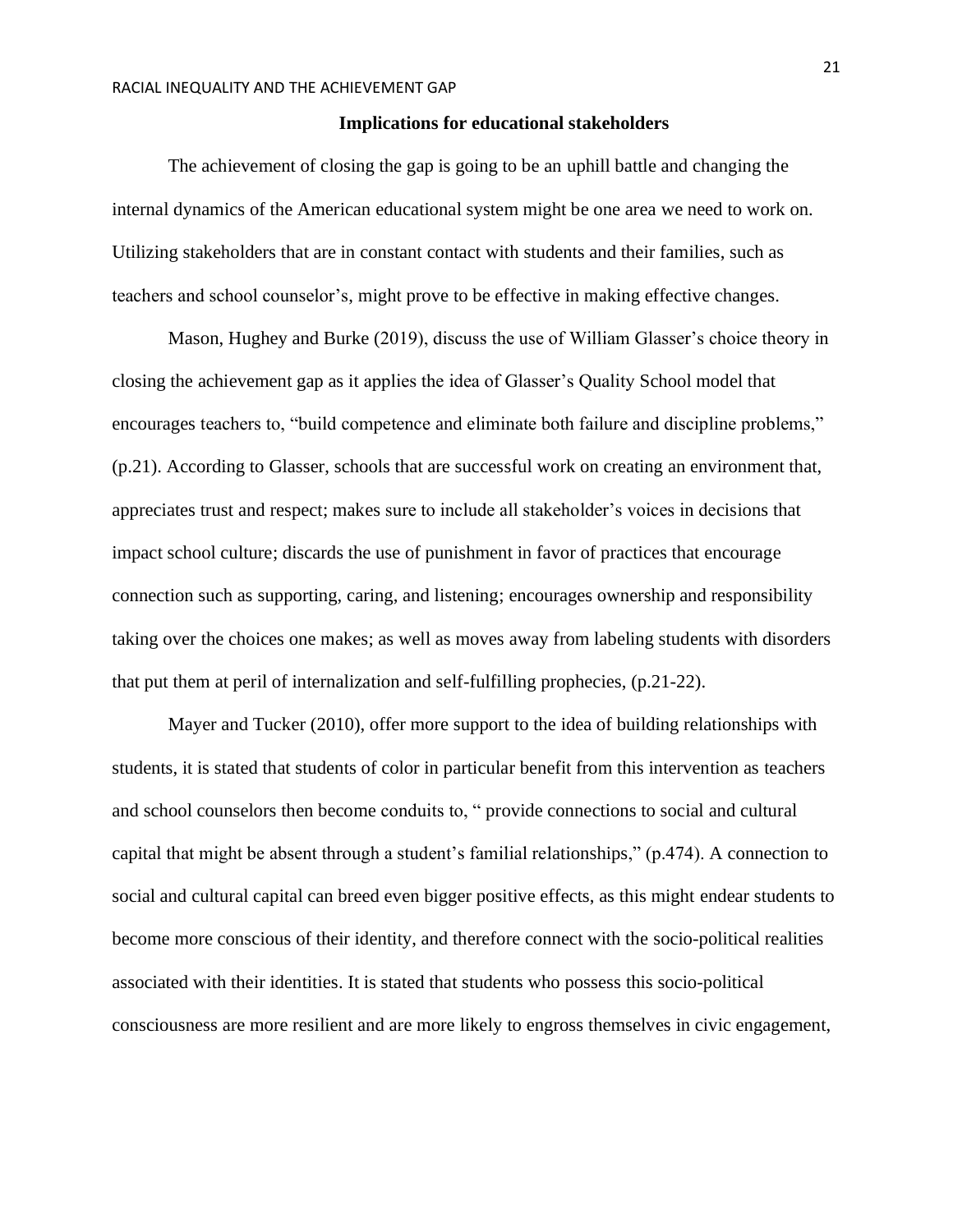#### **Implications for educational stakeholders**

The achievement of closing the gap is going to be an uphill battle and changing the internal dynamics of the American educational system might be one area we need to work on. Utilizing stakeholders that are in constant contact with students and their families, such as teachers and school counselor's, might prove to be effective in making effective changes.

Mason, Hughey and Burke (2019), discuss the use of William Glasser's choice theory in closing the achievement gap as it applies the idea of Glasser's Quality School model that encourages teachers to, "build competence and eliminate both failure and discipline problems," (p.21). According to Glasser, schools that are successful work on creating an environment that, appreciates trust and respect; makes sure to include all stakeholder's voices in decisions that impact school culture; discards the use of punishment in favor of practices that encourage connection such as supporting, caring, and listening; encourages ownership and responsibility taking over the choices one makes; as well as moves away from labeling students with disorders that put them at peril of internalization and self-fulfilling prophecies, (p.21-22).

Mayer and Tucker (2010), offer more support to the idea of building relationships with students, it is stated that students of color in particular benefit from this intervention as teachers and school counselors then become conduits to, " provide connections to social and cultural capital that might be absent through a student's familial relationships," (p.474). A connection to social and cultural capital can breed even bigger positive effects, as this might endear students to become more conscious of their identity, and therefore connect with the socio-political realities associated with their identities. It is stated that students who possess this socio-political consciousness are more resilient and are more likely to engross themselves in civic engagement,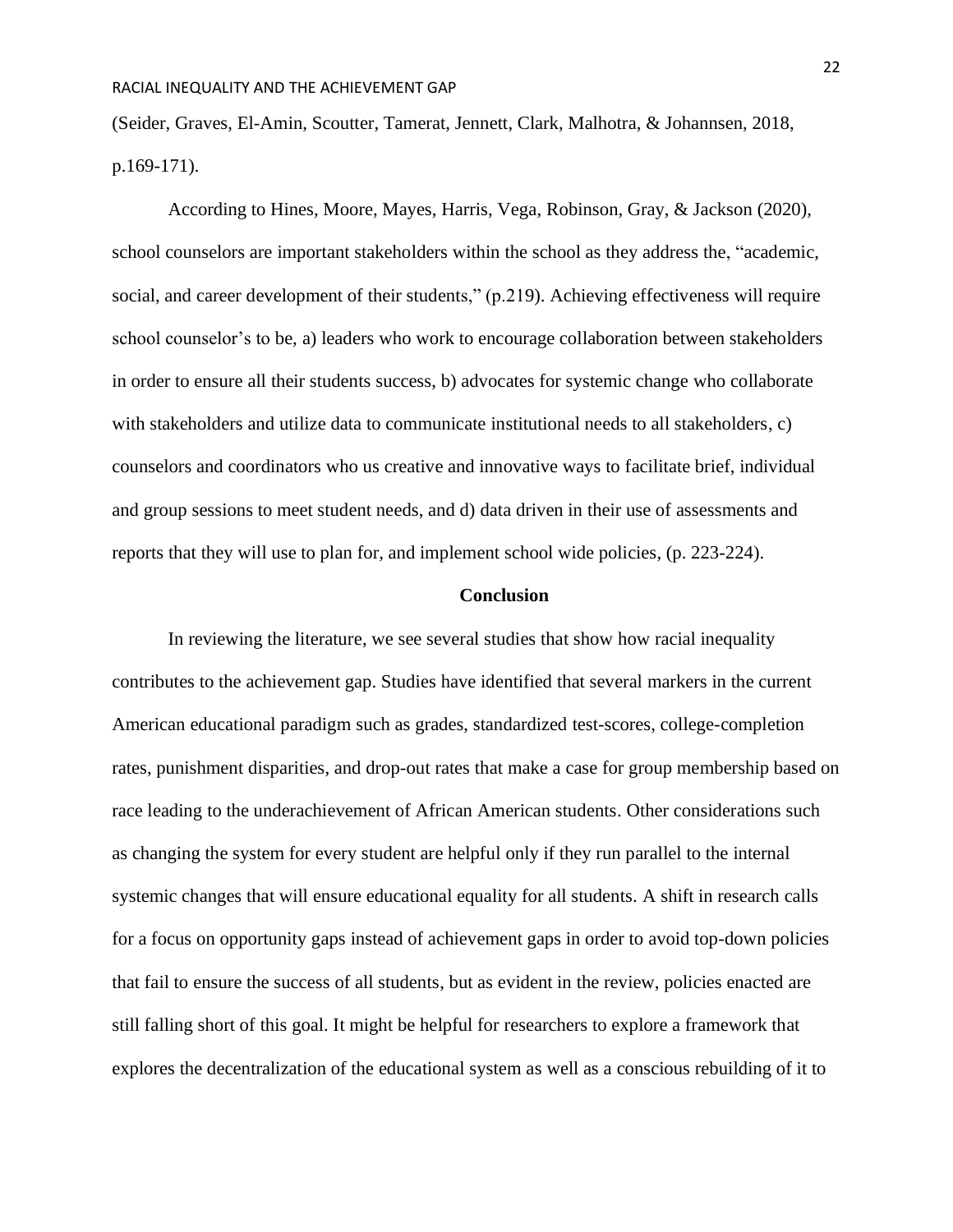(Seider, Graves, El-Amin, Scoutter, Tamerat, Jennett, Clark, Malhotra, & Johannsen, 2018, p.169-171).

According to Hines, Moore, Mayes, Harris, Vega, Robinson, Gray, & Jackson (2020), school counselors are important stakeholders within the school as they address the, "academic, social, and career development of their students," (p.219). Achieving effectiveness will require school counselor's to be, a) leaders who work to encourage collaboration between stakeholders in order to ensure all their students success, b) advocates for systemic change who collaborate with stakeholders and utilize data to communicate institutional needs to all stakeholders, c) counselors and coordinators who us creative and innovative ways to facilitate brief, individual and group sessions to meet student needs, and d) data driven in their use of assessments and reports that they will use to plan for, and implement school wide policies, (p. 223-224).

#### **Conclusion**

In reviewing the literature, we see several studies that show how racial inequality contributes to the achievement gap. Studies have identified that several markers in the current American educational paradigm such as grades, standardized test-scores, college-completion rates, punishment disparities, and drop-out rates that make a case for group membership based on race leading to the underachievement of African American students. Other considerations such as changing the system for every student are helpful only if they run parallel to the internal systemic changes that will ensure educational equality for all students. A shift in research calls for a focus on opportunity gaps instead of achievement gaps in order to avoid top-down policies that fail to ensure the success of all students, but as evident in the review, policies enacted are still falling short of this goal. It might be helpful for researchers to explore a framework that explores the decentralization of the educational system as well as a conscious rebuilding of it to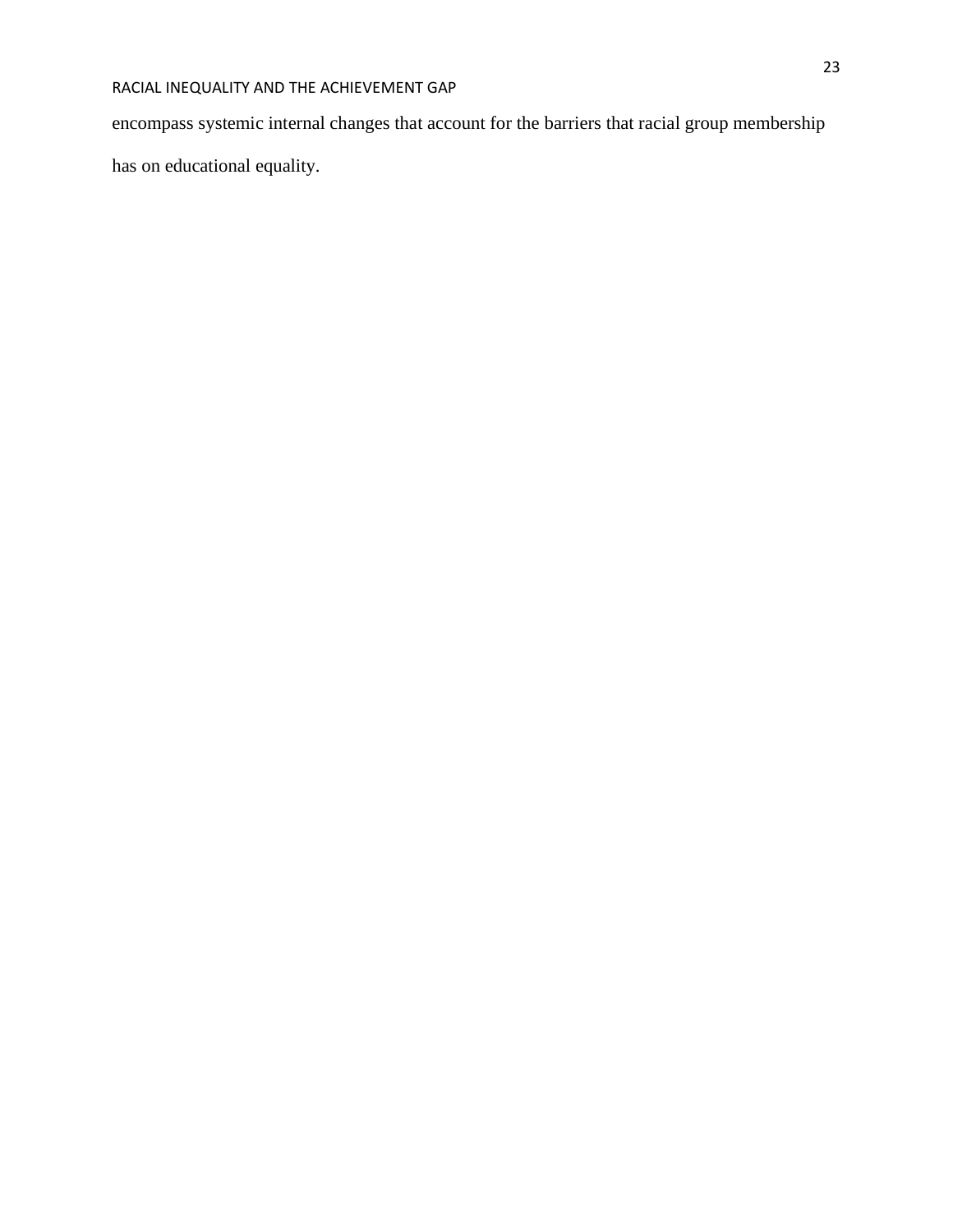encompass systemic internal changes that account for the barriers that racial group membership

has on educational equality.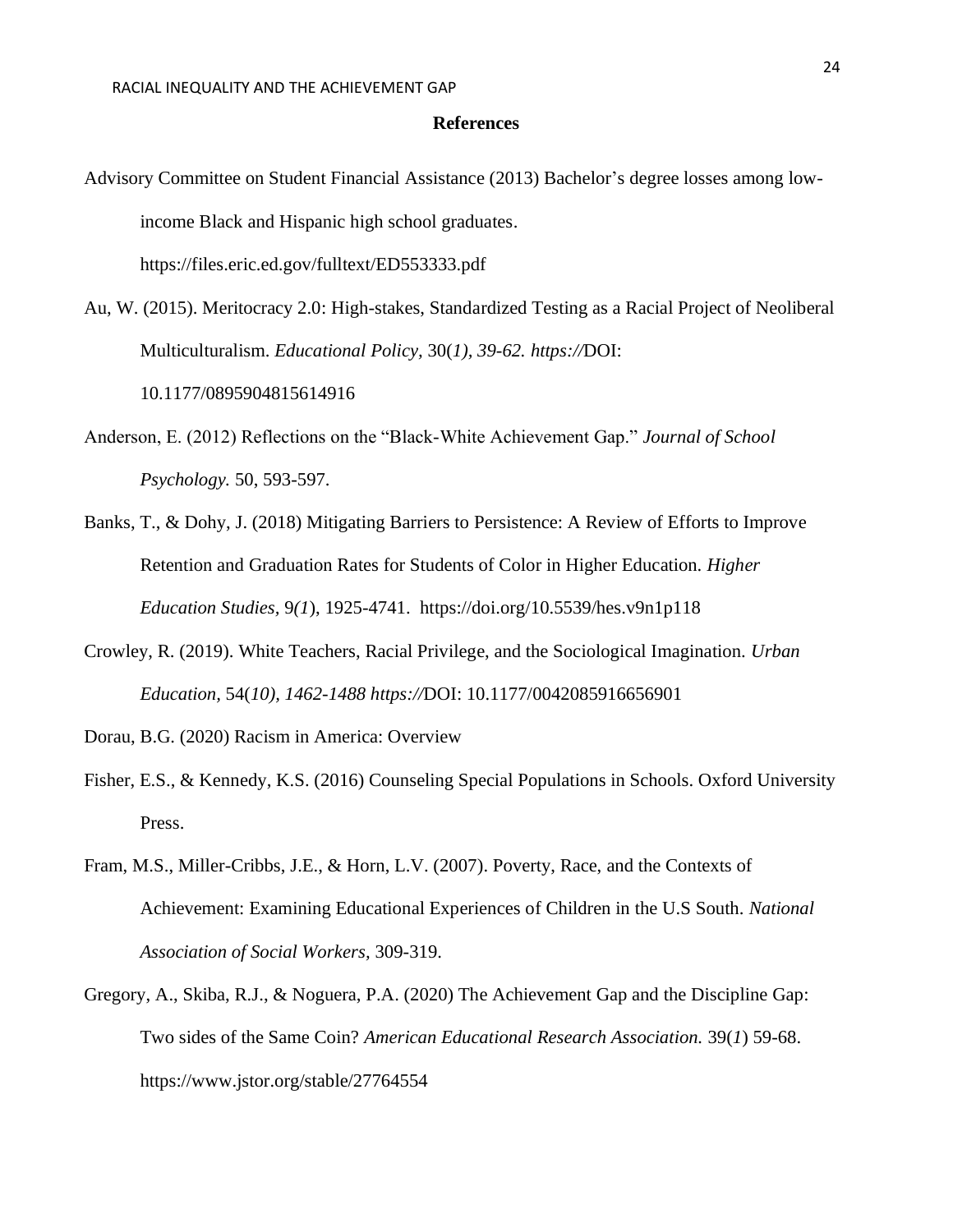#### **References**

Advisory Committee on Student Financial Assistance (2013) Bachelor's degree losses among lowincome Black and Hispanic high school graduates.

<https://files.eric.ed.gov/fulltext/ED553333.pdf>

- Au, W. (2015). Meritocracy 2.0: High-stakes, Standardized Testing as a Racial Project of Neoliberal Multiculturalism. *Educational Policy,* 30(*1), 39-62. https://*DOI: 10.1177/0895904815614916
- Anderson, E. (2012) Reflections on the "Black-White Achievement Gap." *Journal of School Psychology.* 50, 593-597.
- Banks, T., & Dohy, J. (2018) Mitigating Barriers to Persistence: A Review of Efforts to Improve Retention and Graduation Rates for Students of Color in Higher Education. *Higher Education Studies,* 9*(1*), 1925-4741. https://doi.org/10.5539/hes.v9n1p118
- Crowley, R. (2019). White Teachers, Racial Privilege, and the Sociological Imagination. *Urban Education,* 54(*10), 1462-1488 https://*DOI: 10.1177/0042085916656901
- Dorau, B.G. (2020) Racism in America: Overview
- Fisher, E.S., & Kennedy, K.S. (2016) Counseling Special Populations in Schools. Oxford University Press.
- Fram, M.S., Miller-Cribbs, J.E., & Horn, L.V. (2007). Poverty, Race, and the Contexts of Achievement: Examining Educational Experiences of Children in the U.S South. *National Association of Social Workers,* 309-319.
- Gregory, A., Skiba, R.J., & Noguera, P.A. (2020) The Achievement Gap and the Discipline Gap: Two sides of the Same Coin? *American Educational Research Association.* 39(*1*) 59-68. https://www.jstor.org/stable/27764554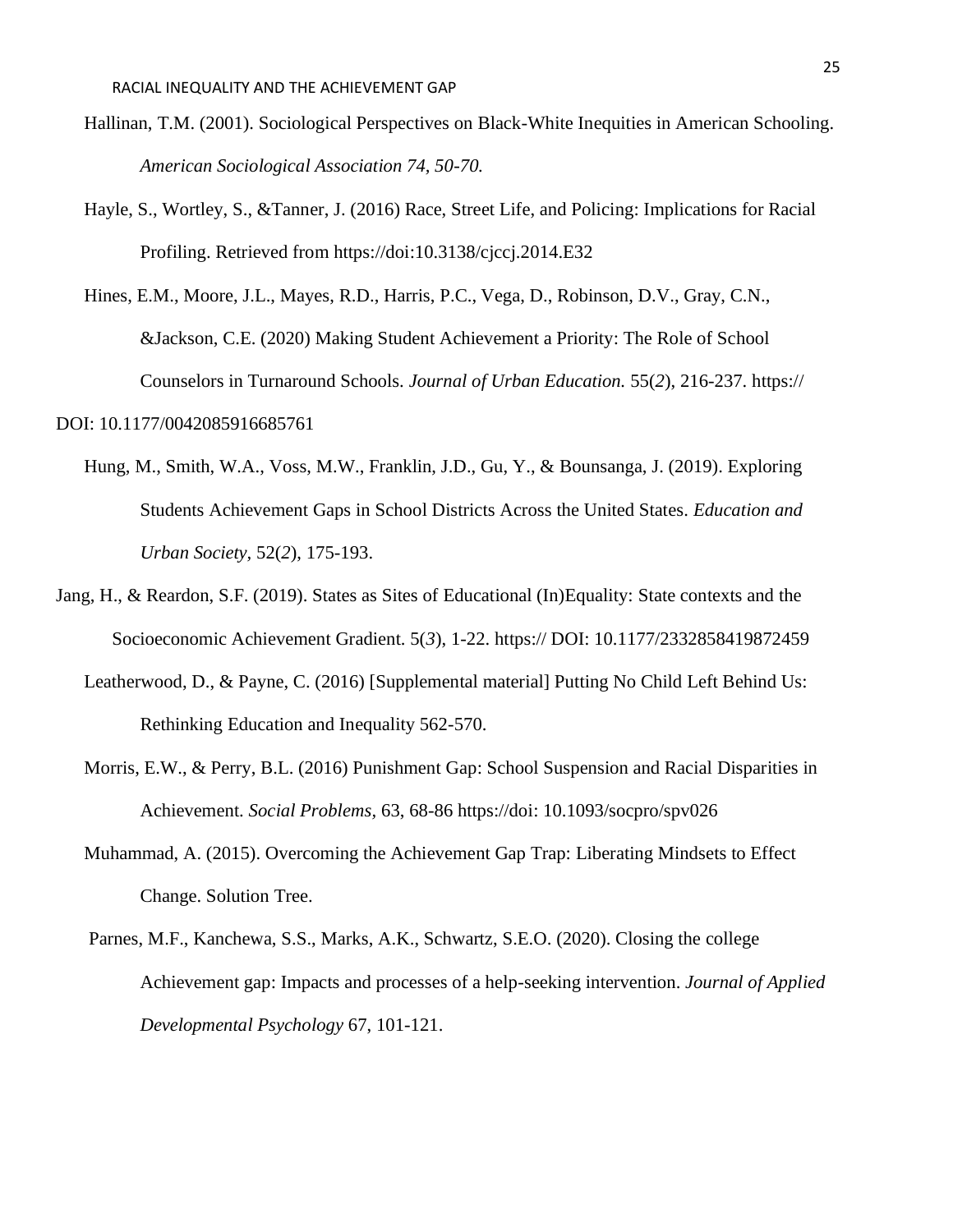- Hallinan, T.M. (2001). Sociological Perspectives on Black-White Inequities in American Schooling. *American Sociological Association 74, 50-70.*
- Hayle, S., Wortley, S., &Tanner, J. (2016) Race, Street Life, and Policing: Implications for Racial Profiling. Retrieved from https://doi:10.3138/cjccj.2014.E32
- Hines, E.M., Moore, J.L., Mayes, R.D., Harris, P.C., Vega, D., Robinson, D.V., Gray, C.N., &Jackson, C.E. (2020) Making Student Achievement a Priority: The Role of School Counselors in Turnaround Schools. *Journal of Urban Education.* 55(*2*), 216-237. https://

#### DOI: 10.1177/0042085916685761

- Hung, M., Smith, W.A., Voss, M.W., Franklin, J.D., Gu, Y., & Bounsanga, J. (2019). Exploring Students Achievement Gaps in School Districts Across the United States. *Education and Urban Society,* 52(*2*), 175-193.
- Jang, H., & Reardon, S.F. (2019). States as Sites of Educational (In)Equality: State contexts and the Socioeconomic Achievement Gradient. 5(*3*), 1-22. https:// DOI: 10.1177/2332858419872459
	- Leatherwood, D., & Payne, C. (2016) [Supplemental material] Putting No Child Left Behind Us: Rethinking Education and Inequality 562-570.
	- Morris, E.W., & Perry, B.L. (2016) Punishment Gap: School Suspension and Racial Disparities in Achievement. *Social Problems,* 63, 68-86 https://doi: 10.1093/socpro/spv026
	- Muhammad, A. (2015). Overcoming the Achievement Gap Trap: Liberating Mindsets to Effect Change. Solution Tree.
	- Parnes, M.F., Kanchewa, S.S., Marks, A.K., Schwartz, S.E.O. (2020). Closing the college Achievement gap: Impacts and processes of a help-seeking intervention. *Journal of Applied Developmental Psychology* 67, 101-121.